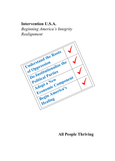# Intervention U.S.A.

Beginning America's Integrity Realignment



# All People Thriving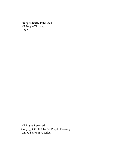# Independently Published

All People Thriving U.S.A.

All Rights Reserved Copyright © 2018 by All People Thriving United States of America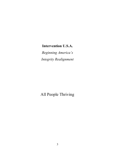# Intervention U.S.A.

Beginning America's Integrity Realignment

All People Thriving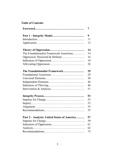# Table of Contents

|                                             | 7  |
|---------------------------------------------|----|
|                                             | 9  |
|                                             | 11 |
|                                             | 13 |
|                                             | 14 |
| The Foundationalist Framework Assertions    | 14 |
| Oppression Theorized & Defined              | 16 |
|                                             | 18 |
|                                             | 26 |
| The Foundationalist Framework               | 29 |
|                                             | 29 |
|                                             | 30 |
|                                             | 44 |
|                                             | 46 |
|                                             | 51 |
|                                             | 53 |
|                                             | 53 |
|                                             | 53 |
|                                             | 55 |
|                                             | 55 |
| Part 2 - Analysis: United States of America | 57 |
|                                             | 59 |
|                                             | 61 |
|                                             | 62 |
|                                             | 75 |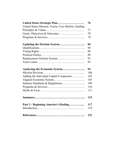| United States Strategic Plan                         | 76  |
|------------------------------------------------------|-----|
| United States Mission, Vision, Core Beliefs, Guiding |     |
|                                                      | 77  |
|                                                      | 78  |
|                                                      | 79  |
|                                                      | 84  |
|                                                      | 88  |
|                                                      | 88  |
|                                                      | 89  |
|                                                      | 91  |
|                                                      | 93  |
| Analyzing the Economic System                        | 94  |
|                                                      | 100 |
| Adding the Individual Capital Component              | 102 |
|                                                      | 105 |
|                                                      | 109 |
|                                                      | 110 |
|                                                      | 111 |
|                                                      | 115 |
| Part 3 - Beginning America's Healing                 | 117 |
|                                                      | 119 |
|                                                      | 123 |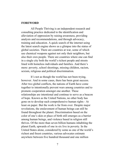#### FOREWORD

All People Thriving is an independent research and consulting practice dedicated to the identification and alleviation of oppression by raising awareness, providing analysis and recommendations, and through advocacy, training and education. A quick search of the internet using the latest search engine shows us a glimpse into the status of global societies. There are countries at war, some of which use chemical weapons against not only their neighbors, but also their own people. There are countries where one can find in a single city both the world's richest people and streets lined with homeless individuals and families. And there's more: poverty, school shootings, missing children, racism, sexism, religious and political discrimination.

It's not as though the world has not been trying, however. And in some cases, there has been great success. After two global conflicts, the nations of Earth have come together to intentionally prevent wars among countries and to promote cooperation amongst one another. These relationships are intentional and continue to serve as a beacon of hope. Known as the United Nations, no other body has gone on to develop such comprehensive human rights - At least on paper. But the work is far from over. Despite major revolutions, the enslavement of human beings can still be found throughout the planet. Discrimination based on the color of one's skin or place of birth still emerges as a barrier among human beings, and violence based in religion still thrives. Of the more than seven billion humans inhabiting the planet Earth, upwards of one in six live in poverty. In the United States alone, considered by some as one of the world's richest and freest countries, various advocates estimate anywhere between five hundred thousand and one million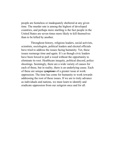people are homeless or inadequately sheltered at any given time. The murder rate is among the highest of developed countries, and perhaps more startling is the fact people in the United States are seven times more likely to kill themselves than to be killed by another.

Throughout history, religious leaders, social activists, scientists, sociologists, political leaders and elected officials have tried to address the issues facing humanity. Yet, these issues reemerge time and again. It's as though civic leaders have been forced to pull a weed without the opportunity to eliminate its root. Healthcare inequity, political discord, police shootings. Seemingly, there are a wide variety of causes for each of these, but in reality, there is an underlying cause. Each of these are unique symptoms of a greater issue at work: oppression. The time has come for humanity to work towards addressing the root of these issues. If we are to truly advance as individuals and nations, we must learn to identify and eradicate oppression from our zeitgeist once and for all.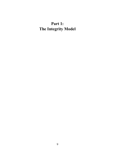# Part 1: The Integrity Model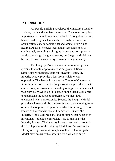## **INTRODUCTION**

All People Thriving developed the Integrity Model to analyze, study and alleviate oppression. The model compiles important teachings from a wide school of thought, including historic and religious documents, scientists, business and organization leaders, sociologists and others. From rising health care costs, homelessness and severe addictions to continuously emerging civil rights issues, and corruption in local, state and global governments, the Integrity Model can be used to probe a wide array of issues facing humanity.

The Integrity Model includes a set of concepts and systems to identify oppression and suggest solutions for achieving or restoring alignment (integrity). First, the Integrity Model provides a lens from which to view oppression. This lens is known as the Theory of Oppression. It outlines the core beliefs of oppression and provides us with a more comprehensive understanding of oppression than what was previously available. It is based on the idea that in order to understand the roots of oppression, we must first understand what oppression is. Second, the Integrity Model provides a framework for comparative analysis allowing us to observe the opposite of oppression which is thriving. This is known as the Foundationalist Framework. Finally, the Integrity Model outlines a method of inquiry that helps us to intentionally alleviate oppression. This is known as the Integrity Process. The Integrity Process was used to assist in the development of the Integrity Model itself as well as the Theory of Oppression. A complete outline of the Integrity Model provides us with a baseline from which to begin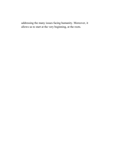addressing the many issues facing humanity. Moreover, it allows us to start at the very beginning, at the roots.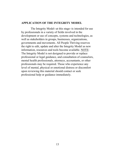#### APPLICATION OF THE INTEGRITY MODEL

The Integrity Model--at this stage--is intended for use by professionals in a variety of fields involved in the development or use of concepts, systems and technologies, as well as stakeholders in groups, businesses, organizations, governments and movements. All People Thriving reserves the right to edit, update and alter the Integrity Model as new information, resources and tools become available. NOTE: The Integrity Model is not designed to provide or replace professional or legal guidance, and consultation of counselors, mental health professionals, attorneys, accountants, or other professionals may be required. Those who experience any level of mental, physical or emotional distress or discomfort upon reviewing this material should contact or seek professional help or guidance immediately.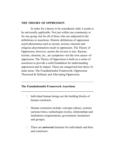## THE THEORY OF OPPRESSION

In order for a theory to be considered valid, it needs to be universally applicable. Not just within one community or for one group, but for all of those who are subjected to the definitions or assertions. Historic definitions of oppression assert phenomena such as racism, sexism, classism and religious discrimination result in oppression. The Theory of Oppression, however, asserts the inverse is true. Racism, sexism, classism, etc., are symptoms--not the root causes--of oppression. The Theory of Oppression is built on a series of assertions to provide a solid foundation for understanding oppression and its impact. These are categorized into three (3) main areas: The Foundationalist Framework; Oppression Theorized & Defined; and Alleviating Oppression.

# The Foundationalist Framework Assertions

 $\Box$  Individual human beings are the building blocks of human constructs.

 $\mathcal{L}_\mathcal{L} = \{ \mathcal{L}_\mathcal{L} = \{ \mathcal{L}_\mathcal{L} = \{ \mathcal{L}_\mathcal{L} = \{ \mathcal{L}_\mathcal{L} = \{ \mathcal{L}_\mathcal{L} = \{ \mathcal{L}_\mathcal{L} = \{ \mathcal{L}_\mathcal{L} = \{ \mathcal{L}_\mathcal{L} = \{ \mathcal{L}_\mathcal{L} = \{ \mathcal{L}_\mathcal{L} = \{ \mathcal{L}_\mathcal{L} = \{ \mathcal{L}_\mathcal{L} = \{ \mathcal{L}_\mathcal{L} = \{ \mathcal{L}_\mathcal{$ 

 $\mathcal{L}_\text{max}$  and the contract of the contract of the contract of the contract of the contract of the contract of the contract of the contract of the contract of the contract of the contract of the contract of the contrac

- $\Box$  Human constructs include: concepts (ideas), systems (actions/roles), technologies (tools), relationships and institutions (organizations, government, businesses and groups).
- $\Box$  There are *universal* elements for individuals and their and constructs: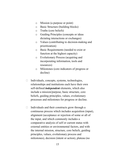- o Mission (a purpose or point)
- o Basic Structure (building blocks)
- o Truths (core beliefs)
- o Guiding Principles (concepts or ideas dictating interactions or exchanges)
- o Values (contributing to decision-making and prioritization)
- o Basic Requirements (needed to exist or function at the highest capacity)
- o Evolutionary Process (acquiring and incorporating information, tools and resources)
- o Milestones (core indicators of progress or decline)
- $\Box$  Individuals, concepts, systems, technologies, relationships and institutions each have their own self-defined *independent* elements, which also include a mission/purpose, basic structure, core beliefs, guiding principles, values, evolutionary processes and milestones for progress or decline.
- $\Box$  Individuals and their constructs grow through a continuous process which includes acquisition (input), alignment (acceptance or rejection of some or all of the input, and which commonly includes a comparative analysis of self or current status with external entities or environmental factors, and with the internal mission, structure, core beliefs, guiding principles, values, evolutionary process and milestones), decision (intent or action), plateau (no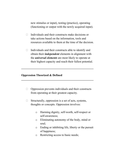new stimulus or input), testing (practice), operating (functioning or output with the newly acquired input).

- $\Box$  Individuals and their constructs make decisions or take actions based on the information, tools and resources available to them at the time of the decision.
- $\Box$  Individuals and their constructs able to identify and obtain their *independent* elements in alignment with the *universal elements* are most likely to operate at their highest capacity and reach their fullest potential.

\_\_\_\_\_\_\_\_\_\_\_\_\_\_\_\_\_\_\_\_\_\_\_\_\_\_\_\_\_\_\_\_\_\_\_\_\_\_\_\_\_\_\_\_\_\_\_\_\_\_

\_\_\_\_\_\_\_\_\_\_\_\_\_\_\_\_\_\_\_\_\_\_\_\_\_\_\_\_\_\_\_\_\_\_\_\_\_\_\_\_\_\_\_\_\_\_\_\_\_\_

# Oppression Theorized & Defined

- $\Box$  Oppression prevents individuals and their constructs from operating at their greatest capacity.
- $\Box$  Structurally, oppression is a set of acts, systems, thoughts or concepts. Oppression involves:
	- o Harming dignity, self-worth, self-respect or self-awareness;
	- o Eliminating autonomy of the body, mind or soul;
	- o Ending or inhibiting life, liberty or the pursuit of happiness;
	- o Restricting access to basic needs;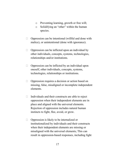- o Preventing learning, growth or free will;
- o Solidifying an "other" within the human species.
- $\Box$  Oppression can be intentional (willful and done with malice), or unintentional (done with ignorance).
- $\Box$  Oppression can be inflicted upon an individual by other individuals, concepts, systems, technologies, relationships and/or institutions.
- $\Box$  Oppression can be inflicted by an individual upon oneself, other individuals, concepts, systems, technologies, relationships or institutions.
- $\Box$  Oppression requires a decision or action based on missing, false, misaligned or incomplete independent elements.
- $\Box$  Individuals and their constructs are able to reject oppression when their independent elements are in place and aligned with the universal elements. Rejection of oppression includes natural human instincts to fight, flee, avoid, or grow.
- $\Box$  Oppression is likely to be internalized or institutionalized by individuals and their constructs when their independent elements are missing or misaligned with the universal elements; This can result in oppression-based responses, including fight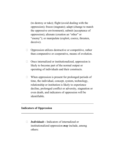(to destroy or take); flight (avoid dealing with the oppression); freeze (stagnate); adapt (change to match the oppressive environment); submit (acceptance of oppression); alienate (creation an "other" or "enemy"); or manipulate (exploit, coerce, threaten, deceive).

- $\Box$  Oppression utilizes destructive or competitive, rather than comparative or cooperative, means of evolution.
- $\Box$  Once internalized or institutionalized, oppression is likely to become part of the normal output or operating of individuals and their constructs.
- $\Box$  When oppression is present for prolonged periods of time, the individual, concept, system, technology, relationship or institution is likely to experience decline, prolonged conflict or adversity, stagnation or even death, and indicators of oppression will be identifiable.

\_\_\_\_\_\_\_\_\_\_\_\_\_\_\_\_\_\_\_\_\_\_\_\_\_\_\_\_\_\_\_\_\_\_\_\_\_\_\_\_\_\_\_\_\_\_\_\_\_\_

\_\_\_\_\_\_\_\_\_\_\_\_\_\_\_\_\_\_\_\_\_\_\_\_\_\_\_\_\_\_\_\_\_\_\_\_\_\_\_\_\_\_\_\_\_\_\_\_\_\_

### Indicators of Oppression

 $\Box$  **Individuals -** Indicators of internalized or institutionalized oppression *may* include, among others: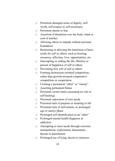- o Persistent damaged sense of dignity, selfworth, self-respect or self-awareness
- o Persistent shame or fear
- o Assertion of dominion over the body, mind or soul of another
- o Allowing others to impede without personal boundaries
- o Restricting or allowing the restriction of basic needs for self or others, such as housing, resources, affection, love, opportunities, etc.
- o Interrupting or ending the life, liberties or pursuit of happiness of self or others
- o Preventing free will of self or others
- o Forming destruction-oriented competition, rather than growth-oriented comparative competition or cooperation
- o Creating a permanent "other" or "enemy"
- o Asserting permanent blame
- o Persistent victim status (assuming no role in self-healing)
- o Persistent repression of own needs
- o Persistent lack of purpose or meaning in life
- o Persistent lack of self-esteem, or prolonged ego or martyr phase
- o Prolonged self-identification as an "other"
- o Prolonged mental health diagnosis or addiction
- o Attempting to meet needs through coercion, manipulation, exploitation, harassment, threats or punishment
- o Prolonged use of lying, deceit or omission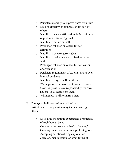- o Persistent inability to express one's own truth
- o Lack of empathy or compassion for self or others
- o Inability to accept affirmation, information or opportunities for self-growth
- o Inability to define oneself
- o Prolonged reliance on others for selfdefinition
- o Inability to be wrong (or right)
- o Inability to make or accept mistakes in good faith
- o Prolonged reliance on others for self-esteem or affirmation
- o Persistent requirement of external praise over internal guidance
- o Inability to forgive self or others
- o Willingness to harm others to achieve needs
- o Unwillingness to take responsibility for own actions, or to learn from them
- o Willingness to kill or harm others
- $\Box$  **Concepts** Indicators of internalized or institutionalized oppression may include, among others:
	- o Devaluing the unique experiences or potential of each human being
	- o Creating a permanent "other" or "enemy"
	- o Creating unnecessary or unhelpful categories
	- o Accepting or rationalizing exploitation, coercion, manipulation, or other forms of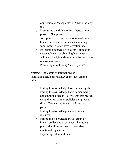oppression as "acceptable" or "that's the way it is"

- o Dismissing the rights to life, liberty or the pursuit of happiness
- o Accepting the denial or restriction of basic human needs and experiences, including food, water, shelter, love, affection, etc.
- o Enshrining oppression or competition as an acceptable way of obtaining basic needs
- o Allowing for lying, deception, misdirection or omission of truth
- o Promoting or enforcing "false options"
- $\Box$  **Systems** Indicators of internalized or institutionalized oppression may include, among others:
	- o Failing to acknowledge basic human rights
	- o Failing to acknowledge basic human bodily and emotional needs (i.e. systems that prevent using the restroom, or policies that prevent time off for caring for sick children or parents)
	- o Failing to acknowledge natural human instincts
	- o Failing to acknowledge the diversity of human bodies and experiences, including physical abilities or mental, cognitive and emotional capacities
	- o Exploiting vulnerabilities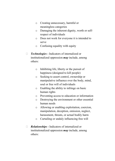- o Creating unnecessary, harmful or meaningless categories
- o Damaging the inherent dignity, worth or selfrespect of individuals
- o Does not work for everyone it is intended to serve
- o Confusing equality with equity
- $\Box$  **Technologies -** Indicators of internalized or institutionalized oppression  $m$ ay include, among others:
	- o Inhibiting life, liberty or the pursuit of happiness (designed to kill people)
	- o Seeking to assert control, ownership or manipulative influence over the body, mind, soul or free will of individuals
	- o Enabling the ability to infringe on basic human rights
	- o Preventing access to education or information
	- o Destroying the environment or other essential human needs
	- o Allowing or enabling exploitation, coercion, manipulation, deception, omission, neglect, harassment, threats, or actual bodily harm
	- o Curtailing or unduly influencing free will
- $\Box$  **Relationships -** Indicators of internalized or institutionalized oppression  $may$  include, among others: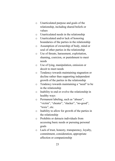- o Unarticulated purpose and goals of the relationship, including shared beliefs or values
- o Unarticulated needs in the relationship
- o Unarticulated and/or lack of honoring boundaries of the parties in the relationship
- o Assumption of ownership of body, mind or soul of other parties in the relationship
- o Use of threats, harassment, exploitation, shaming, coercion, or punishment to meet needs
- o Use of lying, manipulation, omission or deceit to meet needs
- o Tendency towards maintaining stagnation or decline rather than supporting independent growth of the parties in the relationship
- o Tendency towards maintaining a "need" to be in the relationship
- o Inability to end or evolve the relationship in healthy ways
- o Permanent labeling, such as "abuser", "victim", "cheater", "slacker", "no-good", "toxic", etc.
- o Inability to allow for growth of the parties in the relationship
- o Prohibits or detracts individuals from accessing basic needs or pursuing personal goals
- o Lack of trust, honesty, transparency, loyalty, commitment, consideration, appropriate affection or companionship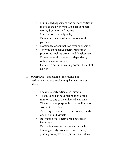- o Diminished capacity of one or more parties in the relationship to maintain a sense of selfworth, dignity or self-respect
- o Lack of positive reciprocity
- o Devaluing the contributions of one of the partners
- o Dominance or competition over cooperation
- o Thriving on negative energy rather than promoting positive growth and development
- o Promoting or thriving on co-dependency rather than cooperation
- o Collective decision-making doesn't benefit all parties
- $\Box$  **Institutions Indicators of internalized or** institutionalized oppression may include, among others:
	- o Lacking clearly articulated mission
	- o The mission has no direct relation of the mission to one of the universal elements
	- o The mission or purpose is to harm dignity or worth of individuals
	- o Asserting ownership over the bodies, minds or souls of individuals
	- o Restricting life, liberty or the pursuit of happiness
	- o Restricting learning or prevents growth
	- o Lacking clearly articulated core beliefs, guiding principles or organizational values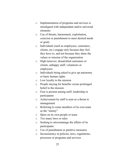- o Implementation of programs and services is misaligned with independent and/or universal elements
- o Use of threats, harassment, exploitation, coercion or punishment to meet desired needs or goals
- o Individuals (such as employees, customers, clients, etc.) engage only because they feel they have to, and not because they share the values or mission of the organization
- o High turnover, dissatisfied customers or clients, unhappy staff, volunteers or employees
- o Individuals being asked to give up autonomy or basic human rights
- o Low loyalty to the mission
- o People staying for benefits versus prolonged belief in the mission
- o Fear is present among staff, leadership or participants
- o Achievement by staff is seen as a threat to management
- o Referring to some members of its own team as the "enemy"
- o Spies on its own people or team
- o Too many laws or rules
- o Seeking to micromanage the affairs of its participants
- o Use of punishment or punitive measures
- o Inconsistency in policies, laws, regulations, processes or programs and services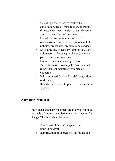- o Use of oppressive tactics marked by exploitation, deceit, misdirection, coercion, threats, harassment, neglect or punishment as a way to reach desired outcomes
- o Use of reactive measures instead of responsive measures in the development of policies, procedures, programs and services
- o Devaluing any of its team (employees, staff, volunteers, colleagues) or clients (members, participants, customers, etc.)
- o Unfair or inequitable compensation
- o Actively seeking to compete (destroy others) rather than comparatively compete or cooperate
- o Is in prolonged "survival mode", stagnation or decline
- o Readily makes use of oppressive concepts or systems

# Alleviating Oppression

 $\Box$  Individuals and their constructs are likely to continue the cycle of oppression unless there is an impetus for change. This is likely to include:

\_\_\_\_\_\_\_\_\_\_\_\_\_\_\_\_\_\_\_\_\_\_\_\_\_\_\_\_\_\_\_\_\_\_\_\_\_\_\_\_\_\_\_\_\_\_\_\_\_\_

\_\_\_\_\_\_\_\_\_\_\_\_\_\_\_\_\_\_\_\_\_\_\_\_\_\_\_\_\_\_\_\_\_\_\_\_\_\_\_\_\_\_\_\_\_\_\_\_\_\_

- o Awareness of decline, stagnation or impending death;
- o Identification of oppression indicators; and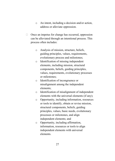- o An intent, including a decision and/or action, address or alleviate oppression.
- $\Box$  Once an impetus for change has occurred, oppression can be alleviated through an intentional process. This process often includes:
	- o Analysis of mission, structure, beliefs, guiding principles, values, requirements, evolutionary process and milestones;
	- o Identification of missing independent elements, including mission, structural components, beliefs, guiding principles, values, requirements, evolutionary processes or milestones;
	- o Identification of incongruence or misalignment among the independent elements;
	- o Identification of misalignment of independent elements with the universal elements (if any);
	- o Opportunity, including information, resources or tools to identify, obtain or revise mission, structural components, beliefs, guiding principles, values, basic needs, evolutionary processes or milestones, and align independent elements; and
	- o Opportunity, including affirmation, information, resources or tools to align independent elements with universal elements.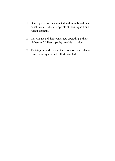- $\Box$  Once oppression is alleviated, individuals and their constructs are likely to operate at their highest and fullest capacity.
- $\Box$  Individuals and their constructs operating at their highest and fullest capacity are able to thrive.
- $\Box$  Thriving individuals and their constructs are able to reach their highest and fullest potential.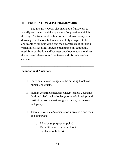#### THE FOUNDATIONALIST FRAMEWORK

The Integrity Model also includes a framework to identify and understand the opposite of oppression which is thriving. The framework is built on several assertions, each deriving from the one before and carefully designed to be applicable to all individuals and their constructs. It utilizes a variation of successful strategic planning tools commonly used for organization and business development, and outlines the universal elements and the framework for independent elements.

# Foundational Assertions

 $\Box$  Individual human beings are the building blocks of human constructs.

\_\_\_\_\_\_\_\_\_\_\_\_\_\_\_\_\_\_\_\_\_\_\_\_\_\_\_\_\_\_\_\_\_\_\_\_\_\_\_\_\_\_\_\_\_\_\_\_\_\_

 $\mathcal{L}_\text{max}$  and the contract of the contract of the contract of the contract of the contract of the contract of the contract of the contract of the contract of the contract of the contract of the contract of the contrac

- $\Box$  Human constructs include: concepts (ideas), systems (actions/roles), technologies (tools), relationships and institutions (organizations, government, businesses and groups).
- $\Box$  There are *universal* elements for individuals and their and constructs:
	- o Mission (a purpose or point)
	- o Basic Structure (building blocks)
	- o Truths (core beliefs)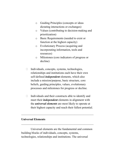- o Guiding Principles (concepts or ideas dictating interactions or exchanges)
- o Values (contributing to decision-making and prioritization)
- o Basic Requirements (needed to exist or function at the highest capacity)
- o Evolutionary Process (acquiring and incorporating information, tools and resources)
- o Milestones (core indicators of progress or decline)
- $\Box$  Individuals, concepts, systems, technologies, relationships and institutions each have their own self-defined *independent* elements, which also include a mission/purpose, basic structure, core beliefs, guiding principles, values, evolutionary processes and milestones for progress or decline.
- $\Box$  Individuals and their constructs able to identify and meet their *independent* elements in alignment with the *universal elements* are most likely to operate at their highest capacity and reach their fullest potential.

 $\mathcal{L}_\text{max}$  and the contract of the contract of the contract of the contract of the contract of the contract of the contract of the contract of the contract of the contract of the contract of the contract of the contrac

\_\_\_\_\_\_\_\_\_\_\_\_\_\_\_\_\_\_\_\_\_\_\_\_\_\_\_\_\_\_\_\_\_\_\_\_\_\_\_\_\_\_\_\_\_\_\_\_\_\_

# Universal Elements

Universal elements are the fundamental and common building blocks of individuals, concepts, systems, technologies, relationships and institutions. The universal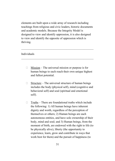elements are built upon a wide array of research including teachings from religious and civic leaders, historic documents and academic models. Because the Integrity Model is designed to view and identify oppression, it is also designed to view and identify the opposite of oppression which is thriving.

\_\_\_\_\_\_\_\_\_\_\_\_\_\_\_\_\_\_\_\_\_\_\_\_\_\_\_\_\_\_\_\_\_\_\_\_\_\_\_\_\_\_\_\_\_\_\_\_\_\_

 $\mathcal{L}_\text{max}$  and the contract of the contract of the contract of the contract of the contract of the contract of the contract of the contract of the contract of the contract of the contract of the contract of the contrac

# Individuals

- $\Box$  Mission The universal mission or purpose is for human beings to each reach their own unique highest and fullest potential.
- $\Box$  Structure The universal structure of human beings includes the body (physical self), mind (cognitive and behavioral self) and soul (spiritual and emotional self).
- $\Box$  Truths There are foundational truths which include the following: 1) All human beings have inherent dignity and worth, regardless of the perception of themselves or others; 2) Human beings are each autonomous entities, and have sole ownership of their body, mind and soul; and 3) Human beings, from the moment of birth, are endowed with the right to life (to be physically alive), liberty (the opportunity to experience, learn, grow and contribute in ways that work best for them) and the pursuit of happiness (to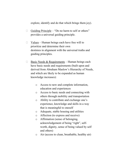explore, identify and do that which brings them joy).

- $\Box$  Guiding Principle "Do no harm to self or others" provides a universal guiding principle.
- $\Box$  Values Human beings each have free will to prioritize and determine their own destinies in alignment with the universal truths and guiding principles.
- $\Box$  Basic Needs & Requirements Human beings each have basic needs and requirements (built upon and derived from Abraham Maslow's Hierarchy of Needs, and which are likely to be expanded as human knowledge increases):
	- o Access to new and complete information, education and experiences
	- o Access to basic needs and connecting with others through mobility and transportation
	- o Ability to contribute and exchange one's experience, knowledge and skills in a way that is meaningful to oneself
	- o Adequate, stable housing and utilities
	- o Affection (to express and receive)
	- o Affirmation (sense of belonging, acknowledgement of being "right", selfworth, dignity, sense of being valued by self and others)
	- o Air (access to clean, breathable, healthy air)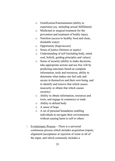- o Gratification/Entertainment (ability to experience joy, including sexual fulfillment)
- o Medicinal or surgical treatment for the prevention and treatment of bodily injury
- o Nutrition (access to healthy food and clean, drinkable water)
- o Opportunity (hope/access)
- o Sense of justice (fairness or equity)
- o Understanding of self (including body, mind, soul, beliefs, guiding principles and values)
- o Sense of security (ability to make decisions, take appropriate actions and use free will by predicting outcomes based on complete information, tools and resources; ability to determine what makes one feel safe and secure in themselves and their own being, and to identify and remove that which causes insecurity or obtain that which causes security)
- o Ability to obtain information, resources and tools, and engage in commerce or trade
- o Ability to defend body
- o A sense of hope
- o A set of personal boundaries enabling individuals to navigate their environments without causing harm to self or others
- $\Box$  Evolutionary Process There is a universal continuous process which includes acquisition (input), alignment (acceptance or rejection of some or all of the input, and which commonly includes a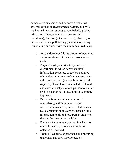comparative analysis of self or current status with external entities or environmental factors, and with the internal mission, structure, core beliefs, guiding principles, values, evolutionary process and milestones), decision (intent or action), plateau (no new stimulus or input), testing (practice), operating (functioning or output with the newly acquired input).

- o Acquisition (input) is the process of obtaining and/or receiving information, resources or tools.
- o Alignment (digestion) is the process of discernment in which newly acquired information, resources or tools are aligned with universal or independent elements, and either incorporated (accepted) or discarded (rejected). This phase often includes internal and external analysis or comparison to similar or like experiences or situations to determine legitimacy.
- o Decision is an intentional process of internalizing and fully incorporating information, resources, or tools. Individuals make decisions or take actions based on the information, tools and resources available to them at the time of the decision.
- o Plateau is the temporary period in which no new information, resources or tools are obtained or received.
- o Testing is a period of practicing and nurturing that which has been incorporated or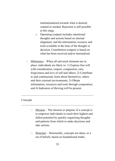institutionalized towards what is desired, wanted or needed. Rejection is still possible at this stage.

- o Operating (output) includes intentional thoughts and actions based on internal alignment, and the information, resource and tools available at the time of the thought or decision. Contribution (output) is based on what has been received and/or internalized.
- $\Box$  Milestones When all universal elements are in place, individuals are likely to: 1) Express free will with consideration, respect, compassion, care, forgiveness and love of self and others; 2) Contribute to and continuously learn about themselves, others and their external environments; 3) Obtain information, resources and tools through cooperation; and 4) Indicators of thriving will be present.

\_\_\_\_\_\_\_\_\_\_\_\_\_\_\_\_\_\_\_\_\_\_\_\_\_\_\_\_\_\_\_\_\_\_\_\_\_\_\_\_\_\_\_\_\_\_\_\_\_\_

\_\_\_\_\_\_\_\_\_\_\_\_\_\_\_\_\_\_\_\_\_\_\_\_\_\_\_\_\_\_\_\_\_\_\_\_\_\_\_\_\_\_\_\_\_\_\_\_\_\_

# Concepts

- $\Box$  Mission The mission or purpose of a concept is to empower individuals to reach their highest and fullest potential by quickly organizing thoughts and patterns from which to make decisions and take actions.
- $\Box$  Structure Structurally, concepts are ideas, or a set of beliefs, based on foundational truths,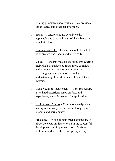guiding principles and/or values. They provide a set of logical and practical assertions.

- $\Box$  Truths Concepts should be universally applicable and practical to all of the subjects to which it refers.
- $\Box$  Guiding Principles Concepts should be able to be expressed and understood universally.
- $\Box$  Values Concepts must be useful in empowering individuals or subjects to make more complete and accurate decisions or predictions by providing a greater and more complete understanding of the stimulus with which they interact.
- $\Box$  Basic Needs & Requirements Concepts require articulated assertions based on facts and experience, and a framework for application.
- $\Box$  Evolutionary Process Continuous analysis and testing is necessary for the concept to grow in strength and permanency.
- $\Box$  Milestones When all universal elements are in place, concepts are likely to aid in the successful development and implementation of thriving within individuals, other concepts, systems,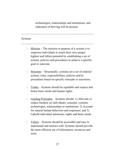technologies, relationships and institutions, and indicators of thriving will be present.

#### Systems

 $\Box$  Mission – The mission or purpose of a system is to empower individuals to reach their own unique highest and fullest potential by establishing a set of actions, policies and procedures to achieve a specific goal or outcome.

 $\mathcal{L}_\text{max}$  and the contract of the contract of the contract of the contract of the contract of the contract of the contract of the contract of the contract of the contract of the contract of the contract of the contrac

 $\mathcal{L}_\text{max}$  and the contract of the contract of the contract of the contract of the contract of the contract of the contract of the contract of the contract of the contract of the contract of the contract of the contrac

- $\Box$  Structure Structurally, systems are a set of ordered actions, roles, responsibilities, policies and/or procedures based on specific concepts or assertions.
- $\Box$  Truths Systems should be equitable and respect and honor basic needs and human rights.
- $\Box$  Guiding Principles Systems should: 1) Alleviate or reduce burdens on individuals, concepts, systems, technologies, relationships or institutions; 2) Account for natural human behaviors and responses; and 3) Uphold individual autonomy, rights and basic needs.
- $\Box$  Values Systems should be accessible and easy to understand and interact with. Systems should provide the most efficient use of information, resources and tools.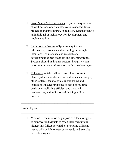- $\Box$  Basic Needs & Requirements Systems require a set of well-defined or articulated roles, responsibilities, processes and procedures. In addition, systems require an individual or technology for development and implementation.
- $\Box$  Evolutionary Process Systems acquire new information, resources and technologies through intentional maintenance and research and development of best practices and emerging trends. Systems should maintain structural integrity when incorporating new information, tools or technologies.
- $\Box$  Milestones When all universal elements are in place, systems are likely to aid individuals, concepts, other systems, technologies, relationships and institutions in accomplishing specific or multiple goals by establishing efficient and practical mechanisms, and indicators of thriving will be present.

\_\_\_\_\_\_\_\_\_\_\_\_\_\_\_\_\_\_\_\_\_\_\_\_\_\_\_\_\_\_\_\_\_\_\_\_\_\_\_\_\_\_\_\_\_\_\_\_\_\_

\_\_\_\_\_\_\_\_\_\_\_\_\_\_\_\_\_\_\_\_\_\_\_\_\_\_\_\_\_\_\_\_\_\_\_\_\_\_\_\_\_\_\_\_\_\_\_\_\_\_

#### Technologies

 $\Box$  Mission – The mission or purpose of a technology is to empower individuals to reach their own unique highest and fullest potential by providing efficient means with which to meet basic needs and exercise individual rights.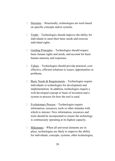- $\Box$  Structure Structurally, technologies are tools based on specific concepts and/or systems.
- $\Box$  Truths Technologies should improve the ability for individuals to meet their basic needs and exercise individual rights.
- $\Box$  Guiding Principles Technologies should respect basic human rights and needs, and account for basic human anatomy and responses.
- $\Box$  Values Technologies should provide practical, costeffective, efficient solutions to issues, opportunities or problems.
- $\Box$  Basic Needs & Requirements Technologies require individuals or technologies for development and implementation. In addition, technologies require a well-developed concept or basis of invention and a system or process for how the tool is used.
- $\Box$  Evolutionary Process Technologies require information, resources, tools or other stimulus with which to interact. New information, resources and tools should be incorporated to ensure the technology is continuously operating at its highest capacity.
- $\Box$  Milestones When all universal elements are in place, technologies are likely to improve the ability for individuals, concepts, systems, other technologies,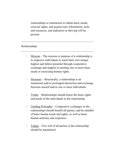relationships or institutions to obtain basic needs, exercise rights, and acquire new information, tools and resources, and indicators or thriving will be present.

\_\_\_\_\_\_\_\_\_\_\_\_\_\_\_\_\_\_\_\_\_\_\_\_\_\_\_\_\_\_\_\_\_\_\_\_\_\_\_\_\_\_\_\_\_\_\_\_\_\_

\_\_\_\_\_\_\_\_\_\_\_\_\_\_\_\_\_\_\_\_\_\_\_\_\_\_\_\_\_\_\_\_\_\_\_\_\_\_\_\_\_\_\_\_\_\_\_\_\_\_

## Relationships

- $\Box$  Mission The mission or purpose of a relationship is to empower individuals to reach their own unique highest and fullest potential through cooperative exchange and support in meeting one or more basic needs or exercising human rights.
- $\Box$  Structure Structurally, a relationship is an intentional and/or prolonged interaction and exchange between oneself and/or one or more individuals.
- $\Box$  Truths Relationships should honor the basic rights and needs of the individuals in the relationship.
- $\Box$  Guiding Principles Cooperative exchanges in the relationships should benefit all parties, and be mindful of basic human needs and rights, as well as basic human anatomy and responses.
- $\Box$  Values Free will of all parties in the relationship should be maintained.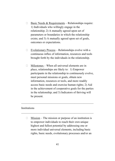- $\Box$  Basic Needs & Requirements Relationships require: 1) Individuals who willingly engage in the relationship; 2) A mutually agreed upon set of parameters or boundaries in which the relationship exists; and 3) A mutually agreed upon set of goals, outcomes or expectations.
- $\Box$  Evolutionary Process Relationships evolve with a continuous influx of information, resources and tools brought forth by the individuals in the relationship.
- $\Box$  Milestones When all universal elements are in place, relationships are likely to: 1) Empower participants in the relationship to continuously evolve, meet personal missions or goals, obtain new information, resources or tools, and more readily access basic needs and exercise human rights; 2) Aid in the achievement of cooperative goals for the parties in the relationship; and 3) Indicators of thriving will be present.

#### **Institutions**

 $\Box$  Mission – The mission or purpose of an institution is to empower individuals to reach their own unique highest and fullest potential by addressing one or more individual universal elements, including basic rights, basic needs, evolutionary processes and/or an

\_\_\_\_\_\_\_\_\_\_\_\_\_\_\_\_\_\_\_\_\_\_\_\_\_\_\_\_\_\_\_\_\_\_\_\_\_\_\_\_\_\_\_\_\_\_\_\_\_\_

\_\_\_\_\_\_\_\_\_\_\_\_\_\_\_\_\_\_\_\_\_\_\_\_\_\_\_\_\_\_\_\_\_\_\_\_\_\_\_\_\_\_\_\_\_\_\_\_\_\_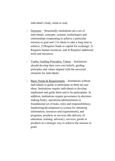individual's body, mind or soul.

- $\Box$  Structure Structurally institutions are a set of individuals, concepts, systems, technologies and relationships cooperating to achieve a particular mission or goal and 1) Is likely to take a long time to achieve; 2) Requires funds or capital for exchange; 3) Requires human resources; and 4) Requires additional tools and resources.
- $\Box$  Truths, Guiding Principles, Values Institutions should develop their own core beliefs, guiding principles and values aligned with the universal elements for individuals.
- $\Box$  Basic Needs & Requirements Institutions without individuals to guide or participate in them are just ideas. Institutions require individuals to develop, implement and guide them and to be participants. In addition, institutions require governance (a decisionmaking body), operations/administration (a foundational set of tasks, roles and responsibilities), fundraising/development (a system for obtaining information, resources and requirements), and programs, products or services (the delivery of education, training, advocacy, services, goods or products in a strategic way to achieve the mission or goal).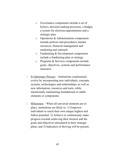- o Governance components include a set of bylaws, decision-making processes, a budget, a system for elections/appointments and a strategic plan.
- o Operations & Administration components include policies and procedures, human resources, financial management and marketing and outreach.
- o Fundraising & Development components include a fundraising plan or strategy.
- o Programs & Services components include goals, objectives, systems and performance measures.
- $\Box$  Evolutionary Process Institutions continuously evolve by incorporating new individuals, concepts, systems, technologies and relationships, as well as new information, resources and tools, while intentionally maintaining foundational or stable elements or components.
- $\Box$  Milestones When all universal elements are in place, institutions are likely to: 1) Empower individuals to reach their own unique highest and fullest potential; 2) Achieve or continuously make progress towards achieving their mission and the goals and objectives articulated in their strategic plans; and 3) Indicators of thriving will be present.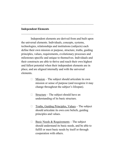#### Independent Elements

Independent elements are derived from and built upon the universal elements. Individuals, concepts, systems, technologies, relationships and institutions (subjects) each define their own mission or purpose, structure, truths, guiding principles, values, requirements, evolutionary processes and milestones specific and unique to themselves. Individuals and their constructs are able to thrive and reach their own highest and fullest potential when their independent elements are in place, and are aligned internally and with the universal elements.

\_\_\_\_\_\_\_\_\_\_\_\_\_\_\_\_\_\_\_\_\_\_\_\_\_\_\_\_\_\_\_\_\_\_\_\_\_\_\_\_\_\_\_\_\_\_\_\_\_\_

 $\mathcal{L}_\text{max}$  and the contract of the contract of the contract of the contract of the contract of the contract of the contract of the contract of the contract of the contract of the contract of the contract of the contrac

- $\Box$  Mission The subject should articulate its own mission or sense of purpose (and recognize it may change throughout the subject's lifespan).
- $\Box$  Structure The subject should have an understanding of its basic structure.
- $\Box$  Truths, Guiding Principles, Values The subject should articulate its own core beliefs, guiding principles and values.
- $\Box$  Basic Needs & Requirements The subject should understand its basic needs, and be able to fulfill or meet basic needs by itself or through cooperation with others.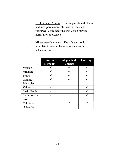- $\Box$  Evolutionary Process The subject should obtain and incorporate new information, tools and resources, while rejecting that which may be harmful or oppressive.
- □ Milestones/Outcomes The subject should articulate its own milestones of success or achievements.

|                    | <b>Universal</b><br><b>Elements</b> | <b>Independent Thriving</b><br><b>Elements</b> |  |
|--------------------|-------------------------------------|------------------------------------------------|--|
| Mission            |                                     |                                                |  |
| Structure          |                                     |                                                |  |
| <b>Truths</b>      |                                     |                                                |  |
| Guiding            |                                     |                                                |  |
| Principles         |                                     |                                                |  |
| Values             |                                     |                                                |  |
| <b>Basic Needs</b> |                                     |                                                |  |
| Evolutionary       |                                     |                                                |  |
| Process            |                                     |                                                |  |
| Milestones $+$     |                                     |                                                |  |
| Outcomes           |                                     |                                                |  |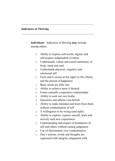## Indicators of Thriving

 $\Box$  Individuals - Indicators of thriving may include, among others:

\_\_\_\_\_\_\_\_\_\_\_\_\_\_\_\_\_\_\_\_\_\_\_\_\_\_\_\_\_\_\_\_\_\_\_\_\_\_\_\_\_\_\_\_\_\_\_\_\_\_

 $\mathcal{L}_\text{max}$  and the contract of the contract of the contract of the contract of the contract of the contract of the contract of the contract of the contract of the contract of the contract of the contract of the contrac

- o Ability to express self-worth, dignity and self-respect independent of others
- o Understands, values and asserts autonomy of body, mind and soul
- o Understands physical, cognitive and emotional self
- o Feels and is secure in the rights to life, liberty and the pursuit of happiness
- o Basic needs are fully met
- o Ability to achieve more if desired
- o Forms mutually cooperative relationships
- o Ability to seek out own truths
- o Questions and affirms own beliefs
- o Ability to make mistakes and learn from them without condemnation of self
- o A willingness to be wrong (and right)
- o Ability to explore, express oneself, learn and actively seek new experiences
- o Understanding and respect of boundaries of self and others without casting judgments
- o Use of discernment over condemnation
- o One's actions, words and thoughts are expressed with integrity (alignment with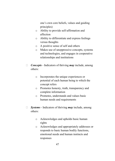one's own core beliefs, values and guiding principles)

- o Ability to provide self-affirmation and affection
- o Ability to differentiate and express feelings versus thoughts
- o A positive sense of self and others
- o Makes use of unoppressive concepts, systems and technologies, and engages in cooperative relationships and institutions
- $\Box$  Concepts Indicators of thriving may include, among others:
	- o Incorporates the unique experiences or potential of each human being to which the concept refers
	- o Promotes honesty, truth, transparency and complete information
	- o Promotes, understands and values basic human needs and requirements
- $\Box$  Systems Indicators of thriving may include, among others:
	- o Acknowledges and upholds basic human rights
	- o Acknowledges and appropriately addresses or responds to basic human bodily functions, emotional needs and human instincts and responses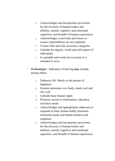- o Acknowledges and incorporates provisions for the diversity of human bodies and abilities; mental, cognitive and emotional capacities; and breadth of human experiences
- o Acknowledges or provides provisions to ensure vulnerabilities are not exploited
- o Creates little and only necessary categories
- o Upholds the dignity, worth and self-respect of individuals
- o Is equitable and works for everyone it is intended to serve
- $\Box$  **Technologies** Indicators of thriving **may** include, among others:
	- o Enhances life, liberty or the pursuit of happiness
	- o Ensures autonomy over body, mind, soul and free will
	- o Upholds basic human rights
	- o Promotes access to information, education and basic needs
	- o Acknowledges and appropriately addresses or responds to basic human bodily functions, emotional needs and human instincts and responses
	- o Acknowledges and incorporates provisions for the diversity of human bodies and abilities; mental, cognitive and emotional capacities; and breadth of human experiences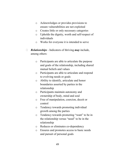- o Acknowledges or provides provisions to ensure vulnerabilities are not exploited
- o Creates little or only necessary categories
- o Upholds the dignity, worth and self-respect of individuals
- o Works for everyone it is intended to serve
- $\Box$  **Relationships** Indicators of thriving **may** include, among others:
	- o Participants are able to articulate the purpose and goals of the relationship, including shared mutual beliefs and values
	- o Participants are able to articulate and respond to evolving needs or goals
	- o Ability to identify, articulate and honor boundaries asserted by parties in the relationship
	- o Participants maintain autonomy and ownership of body, mind and soul
	- o Free of manipulation, coercion, deceit or control
	- o Tendency towards promoting individual growth among the parties
	- o Tendency towards promoting "want" to be in the relationship versus "need" to be in the relationship
	- o Reduces or eliminates co-dependency
	- o Ensures and promotes access to basic needs and pursuit of personal goals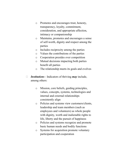- o Promotes and encourages trust, honesty, transparency, loyalty, commitment, consideration, and appropriate affection, intimacy or companionship
- o Maintains, promotes and encourages a sense of self-worth, dignity and respect among the parties
- o Includes reciprocity among the parties
- o Values the contributions of the parties
- o Cooperation presides over competition
- o Mutual decisions impacting both parties benefit all parties
- o The relationship meets its goals and evolves
- $\Box$  Institutions Indicators of thriving may include, among others:
	- o Mission, core beliefs, guiding principles, values, concepts, systems, technologies and internal and external relationships consistently align
	- o Policies and systems view customers/clients, leadership and team members (such as employees and volunteers) as whole people with dignity, worth and inalienable rights to life, liberty and the pursuit of happiness
	- o Policies and systems recognize and promote basic human needs and bodily functions
	- o Systems for acquisition promote voluntary participation and cooperation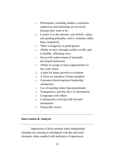- o Participants, including funders, customers, employees and leadership are involved because they want to be
- o Loyalty is to the mission, core beliefs, values and guiding principles, and is voluntary rather than compulsory
- o There is longevity in participation
- o Ability to move through conflict swiftly and in healthy, affirming ways
- o Successful achievement of internally developed milestones
- o Ability to accept or reject opportunities in line with values
- o A plan for future growth or evolution
- o A focus on retention of team members
- o Customer/client/employee/leadership satisfaction
- o Use of teaching rather than punishment
- o Transparency and free flow of information
- o Cooperates with others
- o Continuously evolving with forward momentum

\_\_\_\_\_\_\_\_\_\_\_\_\_\_\_\_\_\_\_\_\_\_\_\_\_\_\_\_\_\_\_\_\_\_\_\_\_\_\_\_\_\_\_\_\_\_\_\_\_\_

\_\_\_\_\_\_\_\_\_\_\_\_\_\_\_\_\_\_\_\_\_\_\_\_\_\_\_\_\_\_\_\_\_\_\_\_\_\_\_\_\_\_\_\_\_\_\_\_\_\_

o Financially secure

## Intervention & Analysis

Oppression is likely present when independent elements are missing or misaligned with the universal elements, often coupled with indicators of oppression.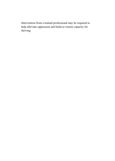Intervention from a trained professional may be required to help alleviate oppression and build or restore capacity for thriving.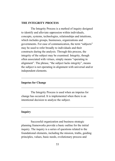#### THE INTEGRITY PROCESS

The Integrity Process is a method of inquiry designed to identify and alleviate oppression within individuals, concepts, systems, technologies, relationships and intuitions, which includes groups, businesses, organizations and governments. For ease of communication, the term "subjects" may be used to refer broadly to individuals and their constructs during the analysis. Through this process, the integrity of the subject may be examined. Integrity, though often associated with virtues, simply means "operating in alignment". The phrase, "the subject lacks integrity", means the subject is not operating in alignment with universal and/or independent elements.

\_\_\_\_\_\_\_\_\_\_\_\_\_\_\_\_\_\_\_\_\_\_\_\_\_\_\_\_\_\_\_\_\_\_\_\_\_\_\_\_\_\_\_\_\_\_\_\_\_\_

\_\_\_\_\_\_\_\_\_\_\_\_\_\_\_\_\_\_\_\_\_\_\_\_\_\_\_\_\_\_\_\_\_\_\_\_\_\_\_\_\_\_\_\_\_\_\_\_\_\_

\_\_\_\_\_\_\_\_\_\_\_\_\_\_\_\_\_\_\_\_\_\_\_\_\_\_\_\_\_\_\_\_\_\_\_\_\_\_\_\_\_\_\_\_\_\_\_\_\_\_

 $\mathcal{L}_\text{max}$  and the contract of the contract of the contract of the contract of the contract of the contract of the contract of the contract of the contract of the contract of the contract of the contract of the contrac

#### Impetus for Change

The Integrity Process is used when an impetus for change has occurred. It is implemented when there is an intentional decision to analyze the subject.

#### Inquiry

Successful organization and business strategic planning frameworks provide a basic outline for the initial inquiry. The inquiry is a series of questions related to the foundational elements, including the mission, truths, guiding principles, values, basic needs, evolutionary process and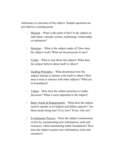milestones or outcomes of the subject. Sample questions are provided as a starting point.

- $\Box$  Mission What is the point of this? Is the subject an individual, concept, system, technology, relationship or institution?
- $\Box$  Structure What is the subject made of? How does the subject work? What are the processes it uses?
- $\Box$  Truths What is true about the subject? What does the subject believe about itself or others?
- $\Box$  Guiding Principles What determines how the subject intends to interact with itself or others? How does it treat or interact with other subjects? What are its boundaries?
- $\Box$  Values How does the subject prioritize or make decisions? What is most important to the subject?
- $\Box$  Basic Needs & Requirements What does the subject need to operate at its highest and fullest capacity? Are those needs being met? If so, how? If not, why not?
- $\Box$  Evolutionary Process Does the subject continuously evolve by incorporating new information, tools and resources, while maintaining stable foundations? How does the subject acquire new information, tools and resources?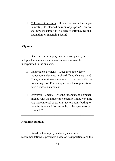$\Box$  Milestones/Outcomes – How do we know the subject is meeting its intended mission or purpose? How do we know the subject is in a state of thriving, decline, stagnation or impending death?

\_\_\_\_\_\_\_\_\_\_\_\_\_\_\_\_\_\_\_\_\_\_\_\_\_\_\_\_\_\_\_\_\_\_\_\_\_\_\_\_\_\_\_\_\_\_\_\_\_\_

\_\_\_\_\_\_\_\_\_\_\_\_\_\_\_\_\_\_\_\_\_\_\_\_\_\_\_\_\_\_\_\_\_\_\_\_\_\_\_\_\_\_\_\_\_\_\_\_\_\_

## Alignment

Once the initial inquiry has been completed, the independent elements and universal elements can be incorporated in the analysis.

- $\Box$  Independent Elements Does the subject have independent elements in place? If so, what are they? If not, why not? Are there internal or external factors preventing this? For example, does the organization have a mission statement?
- $\Box$  Universal Elements Are the independent elements aligned with the universal elements? If not, why not? Are there internal or external factors contributing to the misalignment? For example, is the system truly equitable?

 $\mathcal{L}_\text{max}$  and the contract of the contract of the contract of the contract of the contract of the contract of the contract of the contract of the contract of the contract of the contract of the contract of the contrac

 $\mathcal{L}_\text{max}$  and the contract of the contract of the contract of the contract of the contract of the contract of the contract of the contract of the contract of the contract of the contract of the contract of the contrac

## Recommendations

Based on the inquiry and analysis, a set of recommendations is presented based on best practices and the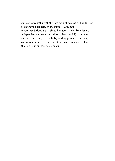subject's strengths with the intention of healing or building or restoring the capacity of the subject. Common recommendations are likely to include: 1) Identify missing independent elements and address them; and 2) Align the subject's mission, core beliefs, guiding principles, values, evolutionary process and milestones with universal, rather than oppression-based, elements.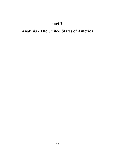## Part 2:

# Analysis - The United States of America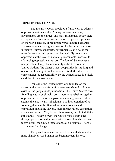#### IMPETUS FOR CHANGE

The Integrity Model provides a framework to address oppression systematically. Among human constructs, governments are the largest and most influential. Today there are upwards of seven billion people on the planet represented on the world stage by approximately two hundred separate and sovereign national governments. As the largest and most influential human constructs, governments can also be the most destructive and oppressive. Strategically, analyzing oppression at the level of national governments is critical to addressing oppression at its root. The United States plays a unique role in the global community as host to both the United Nations (the planet's most cooperative institution) and one of Earth's largest nuclear arsenals. With this dual role comes increased responsibility, so the United States is a likely candidate for an assessment.

Ironically, the United States was founded on the assertion the previous form of government should no longer exist for the people in its jurisdiction. The United States' own founding was wrought with both impressive rebellion against oppression from its former government and grave atrocities against the land's early inhabitants. The interpretation of its founding documents often led to more atrocities and oppression, including slavery, mass incarceration, corruption and even civil war. Yet, despite these issues, the United States still stands. Though slowly, the United States often goes through periods of realignment with its own foundations, and today, again, the United States stands at a precipice. There is an impetus for change.

The presidential election of 2016 unveiled a country more sharply divided than it has been in recent history.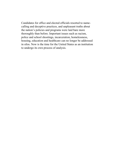Candidates for office and elected officials resorted to namecalling and deceptive practices, and unpleasant truths about the nation's policies and programs were laid bare more thoroughly than before. Important issues such as racism, police and school shootings, incarceration, homelessness, housing, education and healthcare can no longer be addressed in silos. Now is the time for the United States as an institution to undergo its own process of analysis.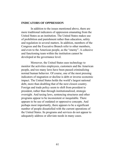#### INDICATORS OF OPPRESSION

In addition to the issues mentioned above, there are more traditional indicators of oppression emanating from the United States as an institution. The United States makes use of prohibition and punishment rather than education, safety and regulation in several matters. In addition, members of the Congress and the Executive Branch refer to other members, and even to the American people, as the "enemy". A cohesive and functioning team within the institution cannot be developed at the governance level.

Moreover, the United States uses technology to monitor the activities employees, customers and the American people, and too many laws have been passed criminalizing normal human behavior. Of course, one of the most pressing indicators of stagnation or decline is debt or inverse economic impact. The United States holds the world's largest national debt, more than doubling that of the next closest country. Foreign and trade policy seem to shift from president to president, rather than through institutionalized, strategic oversight. And taxing laws, sentencing structures and other programs appear to be inconsistent or inequitable. There appears to be use of outdated or oppressive concepts. And perhaps most importantly, there appears to be a significant number of people dissatisfied with the current operations of the United States. Its programs and services do not appear to adequately address or alleviate needs in many cases.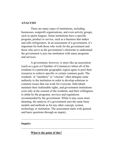#### ANALYSIS

There are many types of institutions, including businesses, nonprofit organizations, and even activity groups, such as sports leagues. Some institutions have a specific program, product or service, such as a business that makes and sells refrigerators. In an assessment of a government, it's important for both those who work for the government and those who serve as the government's electorate to understand the government is just one institution with many programs and services.

A government, however, is more like an association (such as a gym or Chamber of Commerce) where all of the residents in a particular geographic region agree to pool their resources to achieve specific or certain common goals. The residents or "members" or "citizens" often delegate some authority to the institution in order to develop solutions to common issues that can work for everyone. Individuals maintain their inalienable rights, and government institutions exist only at the consent of the residents, and their willingness to abide by the programs, services and regulations recommended by the government. While it may seem more daunting, the analysis of a government uses the same basic models and methods as for any other concept, system, technology or institution. The assessment starts with general and basic questions through an inquiry.

\_\_\_\_\_\_\_\_\_\_\_\_\_\_\_\_\_\_\_\_\_\_\_\_\_\_\_\_\_\_\_\_\_\_\_\_\_\_\_\_\_\_\_\_\_\_\_\_\_\_

\_\_\_\_\_\_\_\_\_\_\_\_\_\_\_\_\_\_\_\_\_\_\_\_\_\_\_\_\_\_\_\_\_\_\_\_\_\_\_\_\_\_\_\_\_\_\_\_\_\_

## Inquiry

## What is the point of this?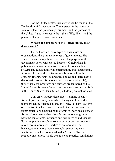For the United States, this answer can be found in the Declaration of Independence. The impetus for its inception was to replace the previous government, and the purpose of the United States is to secure the rights of life, liberty and the pursuit of happiness to all Americans.

## What is the structure of the United States? How does it work?

Just as there are many types of businesses and organizations, there are many types of governments. The United States is a republic. This means the purpose of the government is to represent the interests of individuals in public matters in order to ensure equitable policies, laws, systems and regulations, while maintaining individual rights. It honors the individual citizen (member) as well as the citizenry (membership) as a whole. The United States uses a democratic process for making decisions (majority rule), though its laws, programs and services are tempered by the United States Supreme Court to ensure the assertions set forth in the United States Constitution (its bylaws) are not violated.

Conversely, a pure democracy is a more socialist form of government-type in which the rights of individual members can be forfeited by majority rule. Fascism is a form of socialism in which businesses and other institutions have rights equal to or superseding the rights of individuals. Fascist forms of governance also allow for institutions or groups to have the same rights, influence and privileges as individuals. For example, in a republic, sole proprietor business owners may express individual liberties as an individual, but businesses with more than one employee constitute an institution, which is not considered a "member" by the republic. Institutions would be subject to practical regulations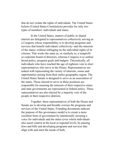that do not violate the rights of individuals. The United States bylaws (United States Constitution) provides for only two types of members: individuals and states.

In the United States, matters of public or shared interest are delegated to representatives collectively serving as a Congress whose responsibility is to develop programs and services that benefit individuals collectively--and the interests of the states--without infringing on the individual rights of its citizens. This works the same as, or similarly to, a nonprofit or corporate board of directors, whereas Congress is to outline broad policy, program goals and budgets. Theoretically, all individuals who have reached the age of eighteen vote to elect representatives who serve in the House. Representatives are tasked with representing the variety of interests, issues and opportunities arising from their entire geographic region. The United States Senate is designed to serve as an association of the states. Those elected to serve in these positions are responsible for ensuring the interests of their respective states and state governments are represented in federal policy. These representatives are also elected by a majority vote of the people in their respective districts.

Together, these representatives of both the House and Senate are to develop and broadly oversee the programs and services of the United States. Founding documents indicate the purpose of this governance model is to create a more excellent form of government by intentionally securing a voice for individuals and the states (over which individuals also assert control at the local or regional level), by passing laws and bills and developing programs and services that align with and meet the needs of both.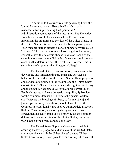In addition to the structure of its governing body, the United States also has an "Executive Branch" that is responsible for implementing the Operations & Administration components of the institution. The Executive Branch is responsible for its namesake – To execute or implement the programs and services of the United States. In the United States this position is elected by a separate process. Each member state is granted a certain number of votes called "electors". The state governments have a right to determine, generally, how their electors choose to vote on behalf of the state. In most cases, the individuals of the state vote in general elections that determine how the electors are to vote. This is sometimes referred to as the "Electoral College".

The United States, as an institution, is responsible for developing and implementing programs and services on behalf of the individuals of the United States. These programs and services are outlined in the preamble to the United States Constitution: 1) Secure for individuals, the right to life, liberty and the pursuit of happiness; 2) Form a more perfect union; 3) Establish justice; 4) Insure domestic tranquility; 5) Provide for the common [defense]; 6) Promote the general welfare; and 7) Secure the blessings of liberty to [its members] and [future generations]. In addition, should they choose, the Congress has additional rights spelled out in Article I, Section 8 of the Constitution, such as regulating commerce with foreign nations, developing taxes to provide for the common defense and general welfare of the United States, declaring war, having armed forces and making laws.

The United States Supreme Court is responsible for ensuring the laws, programs and services of the United States are in compliance with the United States' bylaws (United States Constitution). It can preside over a variety of cases with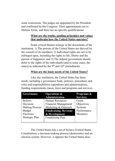some restrictions. The judges are appointed by the President and confirmed by the Congress. Their appointments are to lifetime terms, and there are no specific qualifications.

## What are the truths, guiding principles and values that underpin how the United States operates?

Some critical themes emerge in the documents of the institution: 1) The powers of the United States are derived by the consent of its members; 2) Individual rights are not to be infringed upon, including the rights to life, liberty and the pursuit of happiness; and 3) The federal government should defer to the rights of the individuals (and in some cases, the states) as indicated by the  $9<sup>th</sup>$  and  $10<sup>th</sup>$  amendments.

## What are the basic needs of the United States?

Like any institution, the United States has basic needs, including a governance body, policies, procedures and roles and responsibilities (operations and administration), funding requirements (taxes, fees) and programs and services.

| Governance            | <b>Operations &amp;</b>     | Programs &      |
|-----------------------|-----------------------------|-----------------|
|                       | <b>Administration</b>       | <b>Services</b> |
| <b>Bylaws</b>         | <b>Human Resources</b>      | Goals           |
| Decision-             | <b>Financial Management</b> | Objectives      |
| <b>Making Process</b> | Marketing & Outreach        | Systems         |
| Budget                | <b>Fundraising, Revenue</b> | Performance     |
| Elections             | & Development               | <b>Measures</b> |
| Strategic Plan        | Fundraising Plan            |                 |
|                       |                             |                 |

The United States has a set of bylaws (United States Constitution), a decision-making process (democratic) and an election system. However, it appears the United States does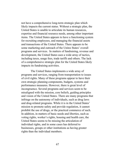not have a comprehensive long-term strategic plan which likely impacts the current status. Without a strategic plan, the United States is unable to articulate its human resources, expertise and financial resource needs, among other important items. The United States appears to have a functioning system for recruiting employees, and managing the financial assets and transactions of the United States. There appears to be some marketing and outreach of the Unites States' overall programs and services. In matters of fundraising, revenue and development, the United States uses a wide array of tactics, including taxes, usage fees, trade tariffs and others. The lack of a comprehensive strategic plan for the United States likely impacts its fundraising activities.

The United States implements a wide array of programs and services, ranging from transportation to issues of civil rights. Many of these programs appear to have their own strategic planning components, budgets, systems and performance measures. However, there is great level of incongruence. Several programs and services seem to be misaligned with the mission, core beliefs, guiding principles and vision of the United States. There are many programs that infringe on the autonomy of individuals, such as drug laws and drug-related programs. While it is in the United States' mission to promote safety and provide regulation, it cannot prohibit the use of drugs, or the practical commerce of such. In addition, in matters of basic needs and liberties, such as voting rights, worker's rights, housing and health care, the United States seems to be missing the articulation of individual rights, and in some cases has deferred to businesses, groups or other institutions as having greater rights than the individual members.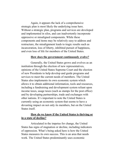Again, it appears the lack of a comprehensive strategic plan is most likely the underlying issue here. Without a strategic plan, programs and services are developed and implemented in silos, and can inadvertently incorporate oppressive or misaligned components. While these components and items may be relatively easy to address and restructure, the misalignment leads to tragic results such as incarceration, loss of liberty, inhibited pursuit of happiness, and even loss of life for members of the United States.

#### How does the government continuously evolve?

Generally, the United States grows and evolves as an institution through the election of new representatives, opinions of the United States Supreme Court and the election of new Presidents to help develop and guide programs and services to meet the current needs of members. The United States also implements its own economic system which allows it to obtain additional information, tools and resources, including a fundraising and development system reliant upon income taxes, usage taxes (such as stamps for the post office) and by developing partnerships, trade and exchanges with other nations. It's important to note the United States is currently using an economic system that seems to have a devasting impact on not only its members, but on the United States itself.

## How do we know if the United States is thriving or in a state of decline?

Articulated in the impetus for change, the United States has signs of stagnation or decline, including indicators of oppression. What's being asked here is how the United States measures its own success. This is an area that needs work. The United States predominantly uses economic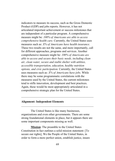indicators to measure its success, such as the Gross Domestic Product (GDP) and jobs reports. However, it has not articulated important achievement or success milestones that are independent of a particular program. A comprehensive measure might be: 100% of Americans are able to access comprehensive health care. Currently, the United States uses measures such as:  $X\%$  of Americans have health insurance. These two results are not the same, and more importantly, call for different approaches, programs and services. Another comprehensive measure might be: 100% of Americans are able to access and secure their basic needs, including clean air, clean water, secure and stable shelter with utilities, accessible transportation, education, healthy nutrition options, and civic participation. Currently, the United States uses measures such as:  $X\%$  of Americans have jobs. While there may be some programmatic correlations with the measures used by the United States, the current milestones tend to stifle innovation, development and best practices. Again, these would be most appropriately articulated in a comprehensive strategic plan for the United States.

#### Alignment: Independent Elements

The United States is like many businesses, organizations and even other governments. There are some strong foundational elements in place, but it appears there are some important components missing as well.

 $\mathcal{L}_\text{max}$  and the contract of the contract of the contract of the contract of the contract of the contract of the contract of the contract of the contract of the contract of the contract of the contract of the contrac

\_\_\_\_\_\_\_\_\_\_\_\_\_\_\_\_\_\_\_\_\_\_\_\_\_\_\_\_\_\_\_\_\_\_\_\_\_\_\_\_\_\_\_\_\_\_\_\_\_\_

Mission: The preamble to the United States Constitution in fact outlines a solid mission statement: [To secure our rights], We the People of the United States, in order to form a more perfect union, establish justice, insure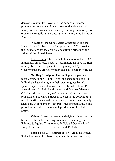domestic tranquility, provide for the common [defense], promote the general welfare, and secure the blessings of liberty to ourselves and our posterity (future generations), do ordain and establish this Constitution for the United States of America.

In addition, the Unites States Constitution and the United States Declaration of Independence (1776), provide the foundations for the core beliefs, guiding principles and values of the United States.

Core Beliefs: The core beliefs seem to include: 1) All individuals are created equal; 2) All individual have the right to life, liberty and the pursuit of happiness; and 3) Governments are erected by individuals to secure their rights.

Guiding Principles: The guiding principles are mostly found in the Bill of Rights, and seem to include: 1) Individuals have the right to their own religious beliefs, speech, expression and to associate freely with others  $(1<sup>st</sup>)$ Amendment); 2) Individuals have the right to self-defense  $(2<sup>nd</sup> A mendment)$ , privacy  $(4<sup>th</sup> A mendment)$  and personal property; 3) The United States is subject to the consent of its members; 4) Laws should be practical, equitable and equally accessible to all members (several Amendments); and 5) The press has the right to operate independently of the United States.

Values: There are several underlying values that can be derived from the founding documents, including: 1) Fairness & Equity; 2) Autonomy/Individual Ownership of Body, Mind and Soul; 3) Freedom; and 4) Unity.

Basic Needs & Requirements: Overall, the United States has many of its basic requirements outlined and met,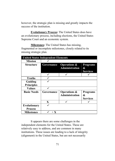however, the strategic plan is missing and greatly impacts the success of the institution.

Evolutionary Process: The United States does have an evolutionary process, including elections, the United States Supreme Court and an economic system.

Milestones: The United States has missing, fragmented or incomplete milestones, closely related to its missing strategic plan.

| <b>United States Independent Elements</b> |            |                                                  |                                         |  |  |
|-------------------------------------------|------------|--------------------------------------------------|-----------------------------------------|--|--|
| <b>Mission</b>                            |            |                                                  |                                         |  |  |
| Structure                                 | Governance | <b>Operations &amp;</b><br><b>Administration</b> | <b>Programs</b><br>&<br><b>Services</b> |  |  |
|                                           |            |                                                  |                                         |  |  |
| <b>Truths</b>                             |            |                                                  |                                         |  |  |
| Guiding<br><b>Principles</b>              |            |                                                  |                                         |  |  |
| <b>Values</b>                             |            |                                                  |                                         |  |  |
| <b>Basic Needs</b>                        | Governance | <b>Operations &amp;</b><br><b>Administration</b> | <b>Programs</b><br>&<br><b>Services</b> |  |  |
|                                           | X          |                                                  |                                         |  |  |
| <b>Evolutionary</b><br><b>Process</b>     |            |                                                  |                                         |  |  |
| <b>Milestones</b>                         | $+X$       |                                                  |                                         |  |  |

It appears there are some challenges in the independent elements for the United States. These are relatively easy to address, and are common in many institutions. These issues are leading to a lack of integrity (alignment) in the United States, but are not necessarily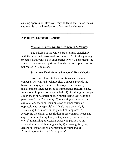causing oppression. However, they do leave the United States susceptible to the introduction of oppressive elements.

\_\_\_\_\_\_\_\_\_\_\_\_\_\_\_\_\_\_\_\_\_\_\_\_\_\_\_\_\_\_\_\_\_\_\_\_\_\_\_\_\_\_\_\_\_\_\_\_\_\_

\_\_\_\_\_\_\_\_\_\_\_\_\_\_\_\_\_\_\_\_\_\_\_\_\_\_\_\_\_\_\_\_\_\_\_\_\_\_\_\_\_\_\_\_\_\_\_\_\_\_

## Alignment: Universal Elements

#### Mission, Truths, Guiding Principles & Values:

The mission of the United States aligns excellently with the universal mission of institutions. The truths, guiding principles and values also align perfectly well. This means the United States has a very strong foundation, and oppression is not rooted in its mission.

#### Structure, Evolutionary Process & Basic Needs:

Structural elements for institutions also include concepts, systems and technologies. Concepts provide the basis for many systems and technologies, and as such, misalignment often occurs at this important structural place. Indicators of oppression may include: 1) Devaluing the unique experiences or potential of each human being; 2) Creating a permanent "other" or enemy; 3) Accepting or rationalizing exploitation, coercion, manipulation or other forms of oppression as "acceptable" or "that's the way it is"; 4) Dismissing life, liberty or the pursuit of happiness; 5) Accepting the denial or restriction of basic human needs and experiences, including food, water, shelter, love, affection, etc.; 6) Enshrining oppression-based competition as an acceptable way of obtaining needs; 7) Allowing for lying, deception, misdirection or omission of truth; and 8) Promoting or enforcing "false options".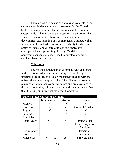There appears to be use of oppressive concepts in the systems used in the evolutionary processes for the United States, particularly in the election system and the economic system. This is likely having an impact on the ability for the United States to meet its basic needs, including the development and adoption of a comprehensive strategic plan. In addition, this is further impacting the ability for the United States to update and discard outdated and oppressive concepts, which is preventing thriving. Outdated and oppressive concepts are being used to develop programs, services, laws and policies.

#### Milestones:

The missing strategic plan combined with challenges in the election system and economic system are likely impacting the ability to develop milestones aligned with the universal elements. It appears the United States is currently pursuing efforts to empower businesses and organizations to thrive in hopes they will empower individuals to thrive, rather than focusing on individual members themselves.

| <b>United States Universal Elements</b> |                         |              |                  |  |  |
|-----------------------------------------|-------------------------|--------------|------------------|--|--|
|                                         | Independent   Universal |              | <b>Issues</b>    |  |  |
| Mission                                 |                         |              |                  |  |  |
| Structure                               |                         | X            | Concepts/Systems |  |  |
| Truths                                  |                         |              |                  |  |  |
| Guiding                                 |                         |              |                  |  |  |
| Principles                              |                         |              |                  |  |  |
| <b>Basic Needs</b>                      | $\mathbf{X}$            | $\mathbf{X}$ | Strategic Plan,  |  |  |
|                                         |                         |              | Laws, Programs,  |  |  |
|                                         |                         |              | Services         |  |  |
| Evolutionary                            |                         | $\mathbf{x}$ | Elections,       |  |  |
| Process                                 |                         |              | Economics        |  |  |
| Milestones                              |                         |              | Strategic Plan   |  |  |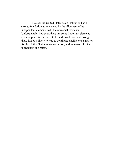It's clear the United States as an institution has a strong foundation as evidenced by the alignment of its independent elements with the universal elements. Unfortunately, however, there are some important elements and components that need to be addressed. Not addressing these issues is likely to lead to continued decline or stagnation for the United States as an institution, and moreover, for the individuals and states.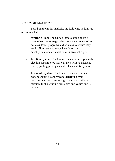#### RECOMMENDATIONS

Based on the initial analysis, the following actions are recommended.

- 1. Strategic Plan: The United States should adopt a comprehensive strategic plan, conduct a review of its policies, laws, programs and services to ensure they are in alignment and focus heavily on the development and articulation of individual rights.
- 2. Election System: The United States should update its election system to be more aligned with its mission, truths, guiding principles and values and its bylaws.
- 3. Economic System: The United States' economic system should be analyzed to determine what measures can be taken to align the system with its mission, truths, guiding principles and values and its bylaws.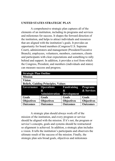## UNITED STATES STRATEGIC PLAN

A comprehensive strategic plan captures all of the elements of an institution, including its programs and services and milestones for success. It shapes the forward direction of the institution, and helps to attract individuals and resources that are aligned with the institution's goals. It provides an opportunity for board members (Congress/U.S. Supreme Court), administrators and management (President/Executive Branch), employees, volunteers, members, customers, clients and participants with clear expectations and something to rally behind and support. In addition, it provides a tool from which the Congress, President, and members (individuals and states) can measure success and progress.

| <b>Strategic Plan Outline</b>              |                   |                    |                   |  |
|--------------------------------------------|-------------------|--------------------|-------------------|--|
| <b>Mission</b>                             |                   |                    |                   |  |
| Vision                                     |                   |                    |                   |  |
| <b>Beliefs, Guiding Principles, Values</b> |                   |                    |                   |  |
| Governance                                 | <b>Operations</b> | <b>Fundraising</b> | <b>Programs</b>   |  |
|                                            | &                 | &                  | & Services        |  |
|                                            | Administration    | <b>Development</b> |                   |  |
| Goals                                      | Goals             | Goals              | Goals             |  |
| <b>Objectives</b>                          | <b>Objectives</b> | <b>Objectives</b>  | <b>Objectives</b> |  |
| <b>Outcomes</b>                            | <b>Outcomes</b>   | <b>Outcomes</b>    | <b>Outcomes</b>   |  |

A strategic plan should always work off of the mission of the institution, and every program or service should be aligned with the mission. If it's not, the program or service's concepts, goals and systems should be restructured so alignment is achieved. In addition, a strategic plan includes a vision. It tells the institution's participants and observers the ultimate result of the success of the mission. Finally, the strategic plan sets broad goals, objectives and milestones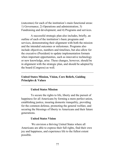(outcomes) for each of the institution's main functional areas: 1) Governance; 2) Operations and administration; 3) Fundraising and development; and 4) Programs and services.

A successful strategic plan also includes, briefly, an outline of each of the institution's basic programs and services, demonstrating their alignment with both the mission and the intended outcomes or milestones. Programs also include objectives, numbers and timelines, but also allow for the executive (President) to update implementation formats when important opportunities, such as innovative technology or new knowledge, arise. These changes, however, should be in alignment with the strategic plan, and should be adopted by the board (Congress) as well.

 $\mathcal{L}_\text{max}$  and the contract of the contract of the contract of the contract of the contract of the contract of the contract of the contract of the contract of the contract of the contract of the contract of the contrac

\_\_\_\_\_\_\_\_\_\_\_\_\_\_\_\_\_\_\_\_\_\_\_\_\_\_\_\_\_\_\_\_\_\_\_\_\_\_\_\_\_\_\_\_\_\_\_\_\_\_

## United States Mission, Vision, Core Beliefs, Guiding Principles & Values

#### United States Mission

To secure the rights to life, liberty and the pursuit of happiness for all Americans by forming a more perfect union, establishing justice, insuring domestic tranquility, providing for the common defense, promoting the general welfare, and securing the blessings of liberty to Americans and their future generations.

#### United States Vision

 We envision a thriving United States where all Americans are able to express their full rights, find their own joy and happiness, and experience life to the fullest extent possible.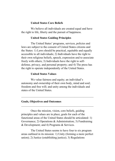### United States Core Beliefs

We believe all individuals are created equal and have the right to life, liberty and the pursuit of happiness.

### United States Guiding Principles

The United States' programs, services, policies and laws are subject to the consent of United States citizens and the States: 1) Laws should be practical, equitable and equally accessible to all individuals; 2) Individuals have the right to their own religious beliefs, speech, expression and to associate freely with others; 3) Individuals have the right to selfdefense, privacy, and personal property; and 4) The press has the right to operate independently of the United States.

#### United States Values

We value fairness and equity; an individual's autonomy and ownership of their own body, mind and soul; freedom and free will; and unity among the individuals and states of the United States.

\_\_\_\_\_\_\_\_\_\_\_\_\_\_\_\_\_\_\_\_\_\_\_\_\_\_\_\_\_\_\_\_\_\_\_\_\_\_\_\_\_\_\_\_\_\_\_\_\_\_

 $\mathcal{L}_\text{max}$  and the contract of the contract of the contract of the contract of the contract of the contract of the contract of the contract of the contract of the contract of the contract of the contract of the contrac

#### Goals, Objectives and Outcomes

 Once the mission, vision, core beliefs, guiding principles and values are in place, goals for each of the functional areas of the United States should be articulated: 1) Governance; 2) Operations & Administration; 3) Fundraising & Development; and 4) Programs & Services.

The United States seems to have four to six program areas outlined in its mission: 1) Unity (forming a more perfect union); 2) Justice (establishing justice); 3) Regulations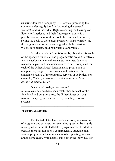(insuring domestic tranquility); 4) Defense (promoting the common defense); 5) Welfare (promoting the general welfare); and 6) Individual Rights (securing the blessings of liberty to Americans and their future generations). It's possible one or more of these could be combined, however, setting the goals of these areas separately helps to make sure the programs and services are aligned with the mission, vision, core beliefs, guiding principles and values.

Broad goals should be followed by objectives for each of the agency's functional and programmatic areas. Objectives include actions, numerical measures, timelines, dates and responsible parties. Once objectives have been completed for each of the United States' functional and programmatic components, long-term outcomes should articulate the anticipated results of the programs, services or activities. For example, 100% of Americans are able to access clean, healthy, drinkable water.

Once broad goals, objectives and milestones/outcomes have been established for each of the functional and program areas, the United States can begin a review of its programs and services, including various systems.

\_\_\_\_\_\_\_\_\_\_\_\_\_\_\_\_\_\_\_\_\_\_\_\_\_\_\_\_\_\_\_\_\_\_\_\_\_\_\_\_\_\_\_\_\_\_\_\_\_\_

\_\_\_\_\_\_\_\_\_\_\_\_\_\_\_\_\_\_\_\_\_\_\_\_\_\_\_\_\_\_\_\_\_\_\_\_\_\_\_\_\_\_\_\_\_\_\_\_\_\_

#### Programs & Services

The United States has a wide and comprehensive set of programs and services, however, they appear to be slightly misaligned with the United States' program areas. In addition, because there has not been a comprehensive strategic plan, several programs and services seem to be operating in silos, and in some cases, work against and not for the individuals of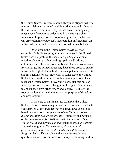the United States. Programs should always be aligned with the mission, vision, core beliefs, guiding principles and values of the institution. In addition, they should seek to strategically meet a specific outcome articulated in the strategic plan. Indicators of oppression in programming include high costs (inverse economic outcomes), incarceration, infringement on individual rights, and criminalizing normal human behavior.

Drug laws in the United States provide a good example of misaligned programming. In general, the United States does not prohibit the use of drugs. Sugar, caffeine, nicotine, alcohol, psychiatric drugs, pain medications, antibiotics and others are commonly used by most Americans. By and large, the United States regulates these drugs to ensure individuals' right to know best practices, potential side effects and instructions for use. However, in some cases, the United States has created prohibitions rather than regulations. This means the United States is favoring a particular business or industry over others, and infringes on the right of individuals to choose their own drugs safely and legally. It's likely the root of the issue lies with the mission or purpose of drug laws and programming.

In the case of marijuana, for example, the United States' role is to provide regulation for the commerce and safe consumption of the drug. However, current laws seem to be based on a mission to stop the use of marijuana (or other drugs) among the American people. Ultimately, the purpose of the programming is misaligned with the mission of the United States and infringes on individual liberties. A potential alternative might be: The purpose of drug laws and programming is to ensure individuals can safely use their drugs of choice. This would set the stage for regulations, quality assurance, prevention/awareness programming, and in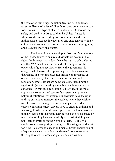the case of certain drugs, addiction treatment. In addition, taxes are likely to be levied directly on drug commerce to pay for services. This type of change is likely to: 1) Increase the safety and quality of drugs sold in the United States; 2) Minimize the impact of drugs on communities and other individuals; 3) Reduce incarceration and engagement with law enforcement; 4) Increase revenue for various social programs; and 5) Secure individual rights.

The issue of gun ownership is also specific to the role of the United States to ensure individuals are secure in their rights. In this case, individuals have the right to self-defense, and the 2nd Amendment further indicates support for the ownership of guns specifically. Here, the government is charged with the role of empowering individuals to exercise their rights in a way that does not infringe on the rights of others. Specifically, there are indicators that without regulation, others' rights are being violated, including the right to life (as evidenced by a number of school and mass shootings). In this case, regulation is likely again the most appropriate solution, and successful systems can provide helpful illustrations. For example, individuals have the right to drive cars and to transport themselves where they wish to travel. However, state governments recognize in order to exercise this right safely, drivers need to undergo training and licensing. Furthermore, if drivers prove to be a threat to others in their exercise of this right, their license can be suspended or revoked until they have successfully demonstrated they are not likely to infringe on the rights of others. It's likely a similar solution--requiring training and licensing--would work for guns. Background checks and mental health checks do not adequately ensure individuals understand how to exercise their right to self-defense and gun ownership without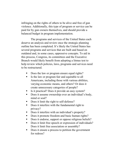infringing on the rights of others to be alive and free of gun violence. Additionally, this type of program or service can be paid for by gun owners themselves, and should provide a balanced budget in program implementation.

The programs and services of the United States each deserve an analysis and review once the strategic planning outline has been completed. It's likely the United States has several programs and services that are built and based on outdated and, in some cases, oppressive concepts. To aid in this process, Congress, its committees and the Executive Branch would likely benefit from adopting a litmus test to help review which policies, laws, programs and services need to be restructured.

- Does the law or program ensure equal rights?
- Is the law or program fair and equitable to all Americans, including those with various abilities, varying economic means, and others? Or does it create unnecessary categories of people?
- Is it practical? Does it provide an easy system?
- Does it assume ownership over an individual's body, mind or soul?
- Does it limit the right to self-defense?
- Does it interfere with the fundamental right to privacy?
- Does it interfere with an individual's property?
- Does it promote freedom and basic human rights?
- Does it endorse, support or oppose religious beliefs?
- Does it limit free speech or expression of individuals? Does it limit free association or assembly?
- Does it ensure a process to petition the government for redress?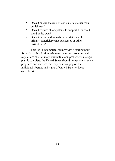- Does it ensure the rule or law is justice rather than punishment?
- Does it require other systems to support it, or can it stand on its own?
- Does it ensure individuals or the states are the primary beneficiary (not businesses or other institutions)?

This list is incomplete, but provides a starting point for analysis. In addition, while restructuring programs and regulations should likely wait until a comprehensive strategic plan is complete, the United States should immediately review programs and services that may be infringing on the individual liberties and rights of United States citizens (members).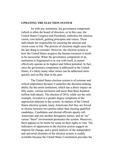#### UPDATING THE ELECTION SYSTEM

As with any institution, the governance component (which is often the board of directors, or in this case, the United States Congress and President), embodies the mission, vision, core beliefs, guiding principles and values. These individuals are responsible for ensuring the mission and vision come to life. The process of elections might seem like the last thing to consider. However, the election system is how the United States acquires the human resources it needs to be successful. When the governance component of an institution is fragmented or at war with itself, it cannot effectively operate at its highest and fullest potential. In fact, once the governance component is addressed in the United States, it's likely many other issues can be addressed more quickly and swiftly than in the past.

The United States election system is of extreme and critical importance because it underlies the decision-making ability for the entire institution, which has a direct impact on fifty states, various territories and more than three hundred million individuals. The election of 2016, while not the only example, revealed to a greater degree symptoms of the oppression inherent in the system. In matters of the United States election system, many Americans feel they are forced to choose between two parties rather than electing qualified candidates. Candidates and elected officials openly call Americans and one another derogatory names, and an "us" versus "them" environment permeates the system. Moreover, there appears to be limits for some on their rights to vote. The indicators of oppression in the election system suggest an impetus for change, and a quick analysis of the independent and universal elements of the election system is readily available because the United States Constitution provides the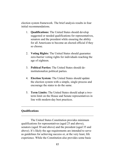election system framework. The brief analysis results in four initial recommendations.

- 1. Qualifications: The United States should develop suggested or needed qualifications for representatives, senators and the president while ensuring the ability for all Americans to become an elected official if they so choose.
- 2. Voting Rights: The United States should guarantee zero-barrier voting rights for individuals reaching the age of eighteen.
- 3. Political Parties: The United States should deinstitutionalize political parties.
- 4. Election System: The United States should update the election system with a simple, single process and encourage the states to do the same.
- 5. Term Limits: The United States should adopt a twoterm limit on the House and Senate representatives in line with modern-day best practices.

\_\_\_\_\_\_\_\_\_\_\_\_\_\_\_\_\_\_\_\_\_\_\_\_\_\_\_\_\_\_\_\_\_\_\_\_\_\_\_\_\_\_\_\_\_\_\_\_\_\_

\_\_\_\_\_\_\_\_\_\_\_\_\_\_\_\_\_\_\_\_\_\_\_\_\_\_\_\_\_\_\_\_\_\_\_\_\_\_\_\_\_\_\_\_\_\_\_\_\_\_

### Qualifications

The United States Constitution provides minimum qualifications for representatives (aged 25 and above), senators (aged 30 and above) and the president (aged 35 and above). It's likely the age requirements are intended to serve as guidelines for achieving success or, at the very least, life experience. While the Constitution also provides some basic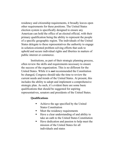residency and citizenship requirements, it broadly leaves open other requirements for these positions. The United States election system is specifically designed to ensure any American can hold the office of an elected official, with their primary qualification being the ability to represent the people of a specific geographic region. The individuals of the United States delegate to these representatives the authority to engage in solution-oriented problem solving efforts that seek to uphold and secure individual rights and liberties in matters of public interest or commerce.

Institutions, as part of their strategic planning process, often review the skills and requirements necessary to ensure the success of the organization. This is no different for the United States. While it is **not** recommended the Constitution be changed, Congress should take the time to review the current needs and trends of the United States. At present, this includes the ability to adopt and implement a comprehensive strategic plan. As such, it's evident there are some basic qualifications that should be suggested for aspiring representatives, senators and presidents of the United States.

### **Qualifications**

- Achieve the age specified by the United States Constitution
- Meet the residency requirements
- Have a clear understanding of and ability to take an oath to the United States Constitution
- Have dedication and passion to help meet the mission of the United States for all individuals and states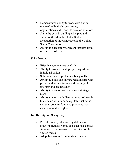- **•** Demonstrated ability to work with a wide range of individuals, businesses, organizations and groups to develop solutions
- **Share the beliefs, guiding principles and** values outlined in the United States Declaration of Independence and the United States Constitution
- Ability to adequately represent interests from respective districts

# Skills Needed

- **Effective communication skills**
- Ability to work with all people, regardless of individual beliefs
- Solution-oriented problem solving skills
- Ability to build and nurture relationships with people and groups from a wide variety of interests and backgrounds
- Ability to develop and implement strategic plans
- Ability to work with diverse groups of people to come up with fair and equitable solutions, systems, policies, laws and programs that ensure individual rights

# Job Description (Congress)

- **Provide policy, rules and regulations to** secure individual rights, and establish a broad framework for programs and services of the United States
- Adopt budgets and fundraising strategies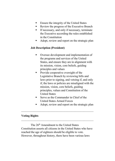- **Ensure the integrity of the United States**
- Review the progress of the Executive Branch
- If necessary, and only if necessary, terminate the Executive according the rules established in the Constitution
- Adopt, review and report on the strategic plan

## Job Description (President)

- Oversee development and implementation of the programs and services of the United States, and ensure they are in alignment with its mission, vision, core beliefs, guiding principles and values
- **Provide cooperative oversight of the** Legislative Branch by reviewing bills and laws prior to signing, and vetoing if, and only if, the laws or policies are misaligned with the mission, vision, core beliefs, guiding principles, values and Constitution of the United States
- Serve as the Commander in Chief of the United States Armed Forces
- Adopt, review and report on the strategic plan

### Voting Rights

The 26th Amendment to the United States Constitution asserts all citizens in the United States who have reached the age of eighteen should be eligible to vote. However, throughout history, there have been various laws

 $\mathcal{L}_\text{max}$  and the contract of the contract of the contract of the contract of the contract of the contract of the contract of the contract of the contract of the contract of the contract of the contract of the contrac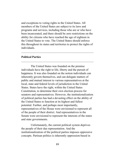and exceptions to voting rights in the United States. All members of the United States are subject to its laws and programs and services, including those who are or who have been incarcerated, and there should be zero restrictions on the ability for citizens who have reached the age of eighteen in the United States to vote. The United States should enforce this throughout its states and territories to protect the rights of individuals.

\_\_\_\_\_\_\_\_\_\_\_\_\_\_\_\_\_\_\_\_\_\_\_\_\_\_\_\_\_\_\_\_\_\_\_\_\_\_\_\_\_\_\_\_\_\_\_\_\_\_

\_\_\_\_\_\_\_\_\_\_\_\_\_\_\_\_\_\_\_\_\_\_\_\_\_\_\_\_\_\_\_\_\_\_\_\_\_\_\_\_\_\_\_\_\_\_\_\_\_\_

#### Political Parties

The United States was founded on the premise individuals have the right to life, liberty and the pursuit of happiness. It was also founded on the notion individuals can inherently govern themselves, and can delegate matters of public and mutual interest to various representatives at the local, state and federal levels of jurisdiction in the United States. States have the right, within the United States Constitution, to determine their own election process for senators and representatives. However, the institutionalization of political parties has had a devasting effect on the ability of the United States to function at its highest and fullest potential. Further, and perhaps most importantly, representatives of the House were envisioned to represent all of the people of their district. And representatives in the Senate were envisioned to represent the interests of the states and state governments.

Unfortunately, the current political system deprives the people of their due representation. And the institutionalization of the political parties imposes oppressive concepts. Partisan politics is inherently oppression-based in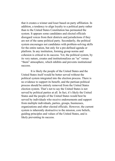that it creates a winner and loser based on party affiliation. In addition, a tendency to align loyalty to a political party rather than to the United States Constitution has permeated the system. It appears some candidates and elected officials disregard voices from their districts and jurisdictions if they are not of the same political party. Secondarily, the political system encourages not candidates with problem-solving skills for the entire nation, but only for a pre-defined agenda or platform. In any institution, forming group norms and cohesion is critical to its success. Yet, the political system, by its very nature, creates and institutionalizes an "us" versus "them" atmosphere, which inhibits and prevents institutional success.

It is likely the people of the United States and the United States itself would be better served without the political system integrated into the election process. There is no evidence to support its benefit, and the partisan political process should be entirely removed from the United States election system. That's not to say the United States is not served by political parties at all. In fact, it's likely the United States and the people of the United States would best be served by individuals who receive endorsements and support from multiple individuals, parties, groups, businesses, organizations and other elected officials. However, the current system is inherently destructive to the mission, core beliefs, guiding principles and values of the United States, and is likely preventing its success.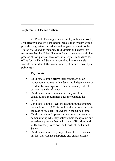### Replacement Election System

All People Thriving notes a simple, highly accessible, cost effective and efficient centralized election system would provide the greatest immediate and long-term benefit to the United States and its members (individuals and states). It's recommended the United States and each state adopt a similar process of non-partisan elections, whereby all candidates for office for the United States are compiled into one single website or similar platform and funded, at minimal cost, by a public trust.

\_\_\_\_\_\_\_\_\_\_\_\_\_\_\_\_\_\_\_\_\_\_\_\_\_\_\_\_\_\_\_\_\_\_\_\_\_\_\_\_\_\_\_\_\_\_\_\_\_\_

 $\mathcal{L}_\text{max}$  and the contract of the contract of the contract of the contract of the contract of the contract of the contract of the contract of the contract of the contract of the contract of the contract of the contrac

### Key Points:

- Candidates should affirm their candidacy as an independent representative declaring independence or freedom from obligation to any particular political party or outside influence.
- Candidates should demonstrate they meet the constitutional requirements for the position they desire.
- Candidates should likely meet a minimum signature threshold (ex: 10,000) from their district or state, or in the case of president, anywhere in the United States.
- Candidates should upload a cover letter and resume demonstrating why they believe their background and experience provide them with the qualifications and skills necessary to be "on the board" of the United States.
- Candidates should list, only if they choose, various parties, individuals, supporters and endorsements.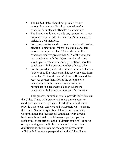- The United States should not provide for any recognition to any political party outside of a candidate's or elected official's own mentions.
- The States should not provide any recognition to any political party outside of a candidate's or an elected official's own mentions.
- For representatives and senators, states should host an election to determine if there is a single candidate who receives greater than 50% of the vote. If no candidate receives greater than 50% of the vote, the two candidates with the highest number of votes should participate in a secondary election where the candidate with the greatest number of votes wins.
- For the president, states should host an initial election to determine if a single candidate receives votes from more than 50% of the states' electors. If no candidate receives greater than 50% of the vote, the two candidates with the highest number of votes participate in a secondary election where the candidate with the greatest number of votes wins.

This process, or similar, would provide individuals in the United States with greater and more direct access to candidates and elected officials. In addition, it's likely to provide a more cost effective and transparent way to ensure the United States has qualified, talented and passionate Congressional and Presidential candidates from diverse backgrounds and skill sets. Moreover, political parties, businesses, organizations and individuals could still endorse or support single or multiple candidates based on their qualifications, thus providing the opportunity to unite individuals from many perspectives in the United States.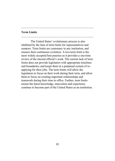### Term Limits

The United States' evolutionary process is also inhibited by the lack of term limits for representatives and senators. Term limits are customary in any institution, and ensures their continuous evolution. A two-term limit is the most widely accepted best practice as it provides a one-time review of the elected official's work. The current lack of term limits does not provide legislators with appropriate timelines and boundaries, and keeps them in a perpetual system of reapplying for their jobs. The term limits will allow the legislators to focus on their work during their term, and allow them to focus on creating important relationships and teamwork during their time in office. Further, term limits ensure the latest knowledge, innovation and experience continue to become part of the United States as an institution.

 $\mathcal{L}_\text{max}$  and the contract of the contract of the contract of the contract of the contract of the contract of the contract of the contract of the contract of the contract of the contract of the contract of the contrac

\_\_\_\_\_\_\_\_\_\_\_\_\_\_\_\_\_\_\_\_\_\_\_\_\_\_\_\_\_\_\_\_\_\_\_\_\_\_\_\_\_\_\_\_\_\_\_\_\_\_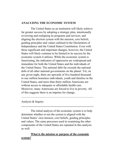### ANALYZING THE ECONOMIC SYSTEM

The United States as an institution will likely achieve far greater success by adopting a strategic plan, intentionally reviewing and realigning its programs and services, and aligning the election system with the mission, core beliefs, guiding principles and values outlined in the Declaration of Independence and the United States Constitution. Even with these significant and important changes, however, the United States will likely continue to be limited in its success by the economic system it utilizes. While the economic system is functioning, the indicators of oppression are widespread and immediate for both the United States and the individuals of the United States. The national debt far exceeds the national debt of all other national governments on the planet. Yet, on any given night, there are upwards of five hundred thousand to one million homeless individuals, youth and families in the United States, and more than thirty million Americans are without access to adequate or affordable health care. Moreover, many Americans are forced to live in poverty. All of this suggests there is an impetus for change.

Analysis & Inquiry

The initial analysis of the economic system is to help determine whether or not the system is aligned with the United States' own mission, core beliefs, guiding principles and values. The same processes used in examining the other components of the United States are repeated in this analysis as well.

 $\mathcal{L}_\text{max}$  and the contract of the contract of the contract of the contract of the contract of the contract of the contract of the contract of the contract of the contract of the contract of the contract of the contrac

\_\_\_\_\_\_\_\_\_\_\_\_\_\_\_\_\_\_\_\_\_\_\_\_\_\_\_\_\_\_\_\_\_\_\_\_\_\_\_\_\_\_\_\_\_\_\_\_\_\_

# What is the mission or purpose of the economic system?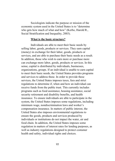Sociologists indicate the purpose or mission of the economic system used in the United States is to "determine who gets how much of what and how" (Kerbo, Harold R., Social Stratification and Inequality, 2003).

#### What is the basic structure?

Individuals are able to meet their basic needs by selling labor, goods, products or services. They earn capital (money) in exchange for their labor, goods, products or services, and are able to purchase their basic needs as a result. In addition, those who wish to earn more or purchase more can exchange more labor, goods, products or services. In this sense, capital is distributed by individuals, businesses, organizations, groups. If an individual is unable to earn capital to meet their basic needs, the United States provides programs and services to address these. In order to provide these services, the United States imposes taxes, fees and strict regulations to determine if, when and how an individual can receive funds from the public trust. This currently includes programs such as food assistance, housing assistance, social security retirement and disability benefits, and health insurance. To ensure individuals are able to participate in the system, the United States imposes some regulations, including minimum wage, nondiscrimination laws and worker's compensation insurance. In matters of public interest, the United States also imposes environmental regulations to ensure the goods, products and services produced by individuals or institutions do not impact the water, air and food chain. In addition, the United States imposes some regulation in matters of interest rates for lending purposes, as well as industry regulations designed to protect costumer health and safety, individual rights and choices.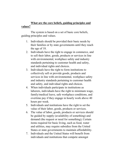# What are the core beliefs, guiding principles and values?

The system is based on a set of basic core beliefs, guiding principles and values.

- 1. Individuals should be provided their basic needs by their families or by state governments until they reach the age of 18.
- 2. Individuals have the right to engage in commerce, and to sell their labor, goods, products or services in line with environmental, workplace safety and industry standards pertaining to customer health and safety, and individual rights and choices.
- 3. Individuals have the right to form institutions to collectively sell or provide goods, products and services in line with environmental, workplace safety and industry standards pertaining to customer health and safety, and individual rights and choices.
- 4. When individuals participate in institutions as laborers, individuals have the right to minimum wage, family/medical leave, safe workplace conditions, and overtime pay if they engage in hourly work above 40 hours per week.
- 5. Individuals and institutions have the right to set the value of their labor, goods, products or services.
- 6. The value of labor, goods, products or services should be guided by supply (availability of something) and demand (the request or need for something); Certain items required for basic living, such as food, water and utilities, may require subsidies from the United States or state governments to maintain affordability.
- 7. Individuals and the United States will benefit from individuals and institutions that compete amongst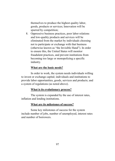themselves to produce the highest quality labor, goods, products or services; Innovation will be spurred by competition;

8. Oppressive business practices, poor labor relations and low-quality products and services will be eliminated from the market by individuals choosing not to participate or exchange with that business (otherwise known as "the Invisible Hand"). In order to ensure this, the United States will monitor fraudulent practices, and prevent institutions from becoming too large or monopolizing a specific industry.

#### What are the basic needs?

In order to work, the system needs individuals willing to invest or exchange capital; individuals and institutions to provide labor opportunities, goods, services and products; and a system of regulations (as noted above).

### What is its evolutionary process?

The system is expanded by the use of interest rates, inflation and lending institutions.

### What are its milestones of success?

Some key milestones of success for the system include number of jobs, number of unemployed, interest rates and number of borrowers.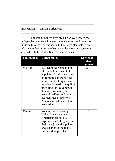Independent & Universal Elements

The initial inquiry provides a brief overview of the independent elements in the economic system, and seems to indicate they may be aligned with their own elements. Now it's time to determine whether or not the economic system is aligned with the United States' own elements.

\_\_\_\_\_\_\_\_\_\_\_\_\_\_\_\_\_\_\_\_\_\_\_\_\_\_\_\_\_\_\_\_\_\_\_\_\_\_\_\_\_\_\_\_\_\_\_\_\_\_

\_\_\_\_\_\_\_\_\_\_\_\_\_\_\_\_\_\_\_\_\_\_\_\_\_\_\_\_\_\_\_\_\_\_\_\_\_\_\_\_\_\_\_\_\_\_\_\_\_\_

|                | <b>Foundations</b> United States                                                                                                                                                                                                                                                                                                                              | Economic<br><b>System</b><br><b>Alignment</b> |
|----------------|---------------------------------------------------------------------------------------------------------------------------------------------------------------------------------------------------------------------------------------------------------------------------------------------------------------------------------------------------------------|-----------------------------------------------|
| <b>Mission</b> | To secure the rights to life,<br>liberty and the pursuit of<br>happiness for all Americans<br>by forming a more perfect<br>union, establishing justice,<br>insuring domestic tranquility,<br>providing for the common<br>defense, promoting the<br>general welfare, and securing<br>the blessings of liberty to<br>Americans and their future<br>generations. | X                                             |
| <b>Vision</b>  | We envision a thriving<br>United States where all<br>Americans are able to<br>express their full rights, find<br>their own joy and happiness,<br>and experience life to the<br>fullest extent possible.                                                                                                                                                       |                                               |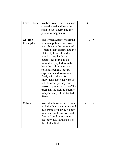| <b>Core Beliefs</b>          | We believe all individuals are<br>created equal and have the<br>right to life, liberty and the<br>pursuit of happiness.                                                                                                                                                                                                                                                                                                                                                                                                                               | X   |
|------------------------------|-------------------------------------------------------------------------------------------------------------------------------------------------------------------------------------------------------------------------------------------------------------------------------------------------------------------------------------------------------------------------------------------------------------------------------------------------------------------------------------------------------------------------------------------------------|-----|
| Guiding<br><b>Principles</b> | The United States' programs,<br>services, policies and laws<br>are subject to the consent of<br>United States citizens and the<br>States: 1) Laws should be<br>practical, equitable and<br>equally accessible to all<br>individuals; 2) Individuals<br>have the right to their own<br>religious beliefs, speech,<br>expression and to associate<br>freely with others; 3)<br>Individuals have the right to<br>self-defense, privacy, and<br>personal property; and 4) The<br>press has the right to operate<br>independently of the United<br>States. | X   |
| <b>Values</b>                | We value fairness and equity;<br>an individual's autonomy and<br>ownership of their own body,<br>mind and soul; freedom and<br>free will; and unity among<br>the individuals and states of<br>the United States.                                                                                                                                                                                                                                                                                                                                      | / X |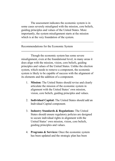The assessment indicates the economic system is in some cases severely misaligned with the mission, core beliefs, guiding principles and values of the United States. More importantly, the system misalignment starts at the mission which is at the very foundation of the system.

 $\mathcal{L}_\text{max}$  and the contract of the contract of the contract of the contract of the contract of the contract of the contract of the contract of the contract of the contract of the contract of the contract of the contrac

\_\_\_\_\_\_\_\_\_\_\_\_\_\_\_\_\_\_\_\_\_\_\_\_\_\_\_\_\_\_\_\_\_\_\_\_\_\_\_\_\_\_\_\_\_\_\_\_\_\_

Recommendations for the Economic System

Though the economic system has some severe misalignment, even at the foundational level, in many areas it does align with the mission, vision, core beliefs, guiding principles and values of the United States. Unlike the election system, which needs to remove a component, the economic system is likely to be capable of success with the alignment of its elements and the addition of a component.

- 1. Mission: The United States should revise and clearly articulate the mission of the economic system in alignment with the United States' own mission, vision, core beliefs, guiding principles and values.
- 2. Individual Capital: The United States should add an Individual Capital component.
- 3. Industry Standards & Regulations: The United States should ensure regulatory policies are designed to secure individual rights in alignment with the United States' own mission, vision, core beliefs, guiding principles and values.
- 4. Programs & Services: Once the economic system has been updated and the strategic plan has been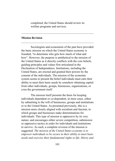completed, the United States should review its welfare programs and services.

\_\_\_\_\_\_\_\_\_\_\_\_\_\_\_\_\_\_\_\_\_\_\_\_\_\_\_\_\_\_\_\_\_\_\_\_\_\_\_\_\_\_\_\_\_\_\_\_\_\_

\_\_\_\_\_\_\_\_\_\_\_\_\_\_\_\_\_\_\_\_\_\_\_\_\_\_\_\_\_\_\_\_\_\_\_\_\_\_\_\_\_\_\_\_\_\_\_\_\_\_

#### Mission Revision

Sociologists and economists of the past have provided the basic mission on which the United States economy is founded, "to determine who gets how much of what and how". However, the purpose is antithetical to the mission of the United States as it directly conflicts with the core beliefs, guiding principles and values first articulated in the Declaration of Independence. Institutions, including the United States, are erected and granted their powers by the consent of the individuals. The mission of the economic system seems to present the belief individuals must earn their ability to meet their basic needs by somehow obtaining capital from other individuals, groups, businesses, organizations, or even the government itself.

The mission itself presents the basis for keeping individuals dependent or co-dependent, in most cases, either by submitting to the will of businesses, groups and institutions or to the United States. As presented previously, this is a mission more closely aligned with socialism and fascism, in which groups and businesses make determinations for individuals. This type of mission is oppressive by its very nature, and encourages either severe competition, submission or oppressive tactics in order for individuals and institutions to survive. As such, a complete revision of the mission is suggested: The mission of the United States economy is to empower individuals to be secure in their ability to meet basic needs and exercise their fundamental rights to life, liberty and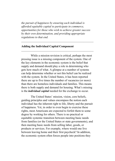the pursuit of happiness by ensuring each individual is afforded equitable capital to participate in commerce, opportunities for those who wish to achieve greater success by their own determination, and providing appropriate regulations to that end.

 $\mathcal{L}_\text{max}$  and the contract of the contract of the contract of the contract of the contract of the contract of the contract of the contract of the contract of the contract of the contract of the contract of the contrac

\_\_\_\_\_\_\_\_\_\_\_\_\_\_\_\_\_\_\_\_\_\_\_\_\_\_\_\_\_\_\_\_\_\_\_\_\_\_\_\_\_\_\_\_\_\_\_\_\_\_

### Adding the Individual Capital Component

While a mission revision is critical, perhaps the most pressing issue is a missing component of the system. One of the key elements in the economic system is the belief that supply and demand should play a role in determining who gets how much of what. A glimpse at a number of systems can help determine whether or not this belief can be realized with the system. In the United States, it has been reported there are up to five times the number of vacancies (or more) than there are homeless individuals and families. This means there is both supply and demand for housing. What's missing is the *individual capital* needed for the exchange to occur.

The United States' mission, vision, core beliefs, guiding principles and values encompass the notion each individual has the inherent right to life, liberty and the pursuit of happiness. Yet, in order to even begin to exercise these rights, most Americans are expected to forfeit them to some degree by working for others. There is no practical or equitable systemic transition between meeting basic needs from families (or the United States or state governments), and then meeting basic needs from selling labor, goods, or products or services. For example, where would one live between leaving home and their first paycheck? In addition, the economic system often forces people into positions they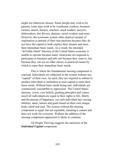might not otherwise choose. Some people may wish to be parents, some may wish to be warehouse workers, business owners, artists, doctors, teachers, stock loaders, lawyers, dishwashers, bus drivers, dentists, social workers and more. However, the economic system often deprives people of exploration or pursuit of their true passions because they do not have the capital to both explore their dreams and meet their immediate basic needs. As a result, the intended "Invisible Hand" function of the United States economy is unable to operate because many Americans are required to participate in business and jobs not because they want to, but because they can see no other choice or practical means by which to meet their immediate basic needs.

This is where the foundational missing component is exposed. Individuals are subjected to the system without any "capital" of their own. As such, they are required to submit to another individual or institution to earn capital to meet their basic needs. Without basic needs being met, individuals are continuously susceptible to oppression. The United States' mission, vision, core beliefs, guiding principles and values assert all individuals are equal in their rights to life, liberty and the pursuit of happiness, yet each individual has varying abilities, ideas, talents and goals based on their own unique body, mind and soul. The system without the missing component is equal, but not equitable, meaning it cannot and does not work for everyone. Without the addition of the missing component oppression is likely to continue.

All People Thriving suggests the inclusion of the Individual Capital component: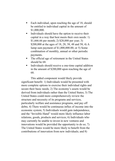- Each individual, upon reaching the age of 18, should be entitled to individual capital in the amount of \$1,000,000.
- $\blacksquare$  Individuals should have the option to receive their capital in a way that best meets their own needs: 1) \$1,666.66 per month; 2) \$20,000 per year; 3) \$200,000 at the ages of 18, 28, 38, 48 and 58; 4) A lump sum payment of \$1,000,000.00; or 5) Some combination of monthly, annual or other periodic payments.
- The official age of retirement in the United States should be 68.
- Individuals should receive a one-time capital addition in the amount of \$200,000 upon reaching the age of 68.

This added component would likely provide significant benefit: 1) Individuals would be presented with more complete options to exercise their individual rights and secure their basic needs; 2) The economy's assets would be derived from individuals rather than the United States; 3) The United States could more comprehensively review the structure and necessity of its programs and services, particularly welfare and assistance programs, and pay off debts; 4) There would be continuous influx of income into the economic system; 5) Individuals would gain independence, and the "Invisible Hand" would more likely influence labor relations, goods, products and services; 6) Individuals who may currently be unable to invest in new ventures and innovations would be provided the opportunity to do so; 7) The United States would be more likely to benefit from the contributions of innovation from new individuals; and 8)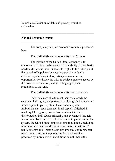Immediate alleviation of debt and poverty would be achievable.

### Aligned Economic System

The completely aligned economic system is presented here:

\_\_\_\_\_\_\_\_\_\_\_\_\_\_\_\_\_\_\_\_\_\_\_\_\_\_\_\_\_\_\_\_\_\_\_\_\_\_\_\_\_\_\_\_\_\_\_\_\_\_

\_\_\_\_\_\_\_\_\_\_\_\_\_\_\_\_\_\_\_\_\_\_\_\_\_\_\_\_\_\_\_\_\_\_\_\_\_\_\_\_\_\_\_\_\_\_\_\_\_\_

#### The United States Economic System Mission

The mission of the United States economy is to empower individuals to be secure in their ability to meet basic needs and exercise their fundamental rights to life, liberty and the pursuit of happiness by ensuring each individual is afforded equitable capital to participate in commerce, opportunities for those who wish to achieve greater success by their own determination, and providing appropriate regulations to that end.

#### The United States Economic System Structure

Individuals are able to meet their basic needs, be secure in their rights, and pursue individual goals by receiving initial capital to participate in the economic system. Individuals may each earn additional capital, if desired, by reselling labor, goods, products or services. Capital is distributed by individuals primarily, and exchanged through institutions. To ensure individuals are able to participate in the system, the United States imposes some regulations, including minimum wage and nondiscrimination laws. In matters of public interest, the United States also imposes environmental regulations to ensure the goods, products and services produced by individuals or institutions do not impact the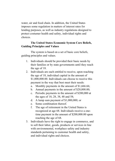water, air and food chain. In addition, the United States imposes some regulation in matters of interest rates for lending purposes, as well as industry regulations designed to protect costumer health and safety, individual rights and choices.

# The United States Economic System Core Beliefs, Guiding Principles and Values

The system is based on a set of basic core beliefs, guiding principles and values.

- 1. Individuals should be provided their basic needs by their families or by state governments until they reach the age of 18.
- 2. Individuals are each entitled to receive, upon reaching the age of 18, individual capital in the amount of \$1,000,000.00. Individuals can choose to receive this payment in the way that best meet their needs:
	- a. Monthly payments in the amount of \$1,666.66;
	- b. Annual payments in the amount of \$20,000.00;
	- c. Periodic payments in the amount of \$200,000 at the ages of 18, 28, 38, 48 and 58;
	- d. A lump sum payment of \$1,000,000; or
	- e. Some combination thereof.
	- f. The age of retirement in the United States is recognized at age 68. Individuals receive a onetime payment in the amount of \$200,000.00 upon reaching the age of 68.
- 3. Individuals have the right to engage in commerce, and to sell their labor, goods, products or services in line with environmental, workplace safety and industry standards pertaining to customer health and safety, and individual rights and choices.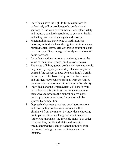- 4. Individuals have the right to form institutions to collectively sell or provide goods, products and services in line with environmental, workplace safety and industry standards pertaining to customer health and safety, and individual rights and choices.
- 5. When individuals participate in institutions as laborers, individuals have the right to minimum wage, family/medical leave, safe workplace conditions, and overtime pay if they engage in hourly work above 40 hours per week.
- 6. Individuals and institutions have the right to set the value of their labor, goods, products or services.
- 7. The value of labor, goods, products or services should be guided by supply (availability of something) and demand (the request or need for something); Certain items required for basic living, such as food, water and utilities, may require subsidies from the United States or state governments to maintain affordability.
- 8. Individuals and the United States will benefit from individuals and institutions that compete amongst themselves to produce the highest quality labor, goods, products or services; Innovation will be spurred by competition.
- 9. Oppressive business practices, poor labor relations and low-quality products and services will be eliminated from the market by individuals choosing not to participate or exchange with that business (otherwise known as "the Invisible Hand"); In order to ensure this, the United States will monitor fraudulent practices, and prevent institutions from becoming too large or monopolizing a specific industry.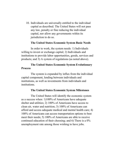10. Individuals are universally entitled to the individual capital as described. The United States will not pass any law, penalty or fine reducing the individual capital, nor allow any governments within its jurisdiction to do so.

#### The United States Economic System Basic Needs

In order to work, the system needs: 1) Individuals willing to invest or exchange capital; 2) Individuals and institutions to provide labor opportunities, goods, services and products; and 3) A system of regulations (as noted above).

## The United States Economic System Evolutionary **Process**

The system is expanded by influx from the individual capital component, lending between individuals and institutions, as well as investments from individuals and institutions.

### The United States Economic System Milestones

The United States will identify the economic system as a success when: 1)100% of Americans have adequate shelter and utilities; 2) 100% of Americans have access to clean air, water and nutrition; 3) 100% of Americans can afford and access adequate medical and mental health care; 4) 100% of Americans can access transportation options to best meet their needs; 5) 100% of Americans are able to receive continued education of their choosing; and 6) There is a 0% unemployment rate among those wishing to have jobs.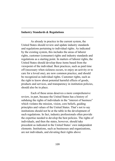#### Industry Standards & Regulations

As already in practice in the current system, the United States should review and update industry standards and regulations pertaining to individual rights. As indicated by the existing system, this includes the areas of laborer rights, customer (consumer) rights and industry standards and regulations as a starting point. In matters of laborer rights, the United States should develop these items based from the viewpoint of the individual. Best practices, such as paid time off (necessary when sickness occurs, to enjoy an activity or to care for a loved one), are now common practice, and should be recognized as individual rights. Customer rights, such as the right to know about potential harmful effects of goods, products and services, and transparency in institution policies, should also be in place.

 $\mathcal{L}_\text{max}$  and the contract of the contract of the contract of the contract of the contract of the contract of the contract of the contract of the contract of the contract of the contract of the contract of the contrac

\_\_\_\_\_\_\_\_\_\_\_\_\_\_\_\_\_\_\_\_\_\_\_\_\_\_\_\_\_\_\_\_\_\_\_\_\_\_\_\_\_\_\_\_\_\_\_\_\_\_

Each of these areas deserves a more comprehensive review, in part, because the United States has a history of subduing the rights of individuals in the "interest of business" which violates the mission, vision, core beliefs, guiding principles and values of the United States. That's not to say institutions should not be at the table in the development of such regulations. In fact, industry professionals often provide the expertise needed to develop the best policies. The rights of individuals, and then the states, however, should take precedent as indicated in the United States' own independent elements. Institutions, such as businesses and organizations, are not individuals, and elevating their rights above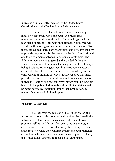individuals is inherently rejected by the United States Constitution and the Declaration of Independence.

In addition, the United States should review any industry where prohibition has been used rather than regulation. Prohibition of the sale of certain drugs, such as marijuana, inherently infringes on individual rights, free will and the ability to engage in commerce of choice. In cases like these, the United States uses prohibition, and bypasses its duty to provide regulations for the safety and health of, and fair and equitable commerce between, laborers and customers. The failure to regulate, as suggested and provided for by the United States Constitution, results in a great number of people being displaced from engagement in the economic system, and creates hardship for the public in that it must pay for the enforcement of prohibition-based laws. Regulated industries provide revenue, while prohibition-based policies infringe on individual liberties and cost tax-payer money with no tangible benefit to the public. Individuals and the United States would be better served by regulation, rather than prohibition, in matters that impact individual rights.

#### Programs & Services

It's clear from the mission of the United States, the institution is to provide programs and services that benefit the individuals of the United States, ensure liberty and even promote welfare, which has often been used as the program area for services such as social security, food stamps, housing assistance, etc. Once the economic system has been realigned, and individuals have their own independent capital, it's likely the United States can restore focus on developing and

\_\_\_\_\_\_\_\_\_\_\_\_\_\_\_\_\_\_\_\_\_\_\_\_\_\_\_\_\_\_\_\_\_\_\_\_\_\_\_\_\_\_\_\_\_\_\_\_\_\_

\_\_\_\_\_\_\_\_\_\_\_\_\_\_\_\_\_\_\_\_\_\_\_\_\_\_\_\_\_\_\_\_\_\_\_\_\_\_\_\_\_\_\_\_\_\_\_\_\_\_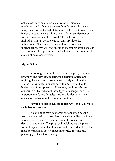enhancing individual liberties, developing practical regulations and achieving successful milestones. It is also likely to allow the United States as an institution to realign its budget, in part, by determining what, if any, entitlement or welfare programs can be revised. The inclusion of the Individual Capital component not only provides the individuals of the United States with more complete independence, free will and ability to meet their basic needs, it also provides the opportunity for the United States to return to a more streamlined system.

\_\_\_\_\_\_\_\_\_\_\_\_\_\_\_\_\_\_\_\_\_\_\_\_\_\_\_\_\_\_\_\_\_\_\_\_\_\_\_\_\_\_\_\_\_\_\_\_\_\_

\_\_\_\_\_\_\_\_\_\_\_\_\_\_\_\_\_\_\_\_\_\_\_\_\_\_\_\_\_\_\_\_\_\_\_\_\_\_\_\_\_\_\_\_\_\_\_\_\_\_

#### Myths & Facts

Adopting a comprehensive strategic plan, reviewing programs and services, updating the election system and revising the economic system is very likely to allow the United States to begin operating with integrity and at its highest and fullest potential. There may be those who are concerned or fearful about these types of changes, and it's important to address fallacies head on. Particularly when it comes to a revision in the economic system.

## Myth: The proposed economic revision is a form of socialism or fascism.

Fact: The current economic system combines the worst elements of socialism, fascism and capitalism, which is why it is very lucrative for some, so-so for others and devastating to many. The proposed revisions are the purest form of capitalism in that they ensure the individual holds the most power, and is able to meet his/her needs while also pursuing greater interests and goals.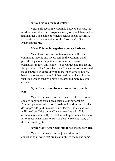### Myth: This is a form of welfare.

Fact: This economic system is likely to alleviate the need for several welfare programs, many of which have led to national debt, and some of which (such as Social Security), are unlikely to remain viable for the "posterity" of the American people.

#### Myth: This could negatively impact business.

Fact: This economic system revision will ensure continuous income and investment in the economy, and provides a guaranteed potential for new and innovative businesses. In fact, this is likely to encourage and realize the full potential of the "Invisible Hand", whereas institutions will be encouraged to come up with more innovative solutions, better customer service and higher quality products. For the first time, Americans will have a greater and more realistic choice.

## Myth: Americans already have a choice and free will.

Fact: Many Americans are forced to choose between equally important basic needs, such as caring for their families, pursuing educational goals and working at jobs that do not provide paid time off or sick leave. Choice and free will based on "false options" is not true free will. This economic revision will provide the first opportunity for many, if not most, Americans to truly be able to exercise many of their inherent rights.

### Myth: Many Americans might not choose to work.

Fact: Many Americans enjoy working and contributing in ways that are meaningful to them, and some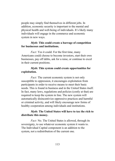people may simply find themselves in different jobs. In addition, economic security is important to the mental and physical health and well-being of individuals. It's likely many individuals will engage in the commerce and economic system in new ways.

## Myth: This could create a barrage of competition for businesses and institutions.

Fact: Yes it could. For the first time, many Americans could choose to become investors, start their own businesses, pay off debts, ask for a raise, or continue to excel in their current positions.

## Myth: This system could create opportunities for exploitation.

Fact: The current economic system is not only susceptible to oppression, it encourages exploitation from participants in order to receive means to meet their basic needs. This is found in business and in the United States itself. In fact, many laws, regulations and policies (costly at that) are required to keep the system in line. The new system will automatically disincentivize oppressive practices and harmful or criminal activity, and will likely encourage new forms of healthy cooperation among individuals and institutions.

## Myth: The United States will have to tax the rich to distribute this money.

Fact: No. The United States is allowed, through its sovereignty, to use whatever economic system it wants to. The Individual Capital component is an addition to the system, not a redistribution of the current one.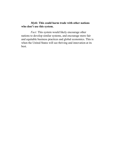# Myth: This could harm trade with other nations who don't use this system.

Fact: This system would likely encourage other nations to develop similar systems, and encourage more fair and equitable business practices and global economics. This is when the United States will see thriving and innovation at its best.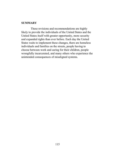#### **SUMMARY**

These revisions and recommendations are highly likely to provide the individuals of the United States and the United States itself with greater opportunity, more security and expanded rights than ever before. Each day the United States waits to implement these changes, there are homeless individuals and families on the streets, people having to choose between work and caring for their children, people wrongfully incarcerated, and many others who experience the unintended consequences of misaligned systems.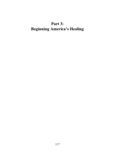# Part 3: Beginning America's Healing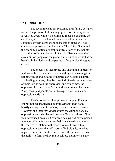#### INTRODUCTION

The recommendations presented thus far are designed to start the process of alleviating oppression at the systemic level. However, while it's possible to focus on changing the election system in the United States and adopting a new economic system component, these things alone will not eradicate oppression from humanity. The United States and the economic system are both manifestations of the beliefs and values of human beings. In fact, it's likely among the seven billion people on the planet there is not one who has not been both the victim and perpetrator of oppressive thoughts or actions.

The process of identifying and alleviating oppression within can be challenging. Understanding and changing core beliefs, values and guiding principles can be both a painful and healing process, often because individuals become aware of their role as both the oppressed, and sometimes, the oppressor. It's important for individuals to remember most Americans (and people on Earth) experience trauma and oppression early on.

That's not to say all oppression is equal. For some, oppression has manifested in unimaginably tragic and horrifying ways, and for others, it may seem more passive. However, the Integrity Model asserts the damage done by oppression has a similar and lasting effect regardless of how it was introduced because it can become a part of how a person interacts with others, acquires their basic needs, and views themselves in relation to their environment. Too often oppression impacts the self-worth of individuals, imprints negative beliefs about themselves and others, interferes with the ability to form healthy relationships, and interrupts the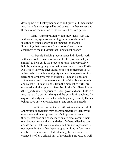development of healthy boundaries and growth. It impacts the way individuals conceptualize and categorize themselves and those around them, often to the detriment of both parties.

Identifying oppression within individuals, just like with concepts, systems, technologies, relationships and institutions often starts with an impetus for change. Something that serves as a "rock bottom" and brings awareness to the individual that things must change.

All People Thriving recommends individuals work with a counselor, healer, or mental health professional (or similar) to help guide the process of removing oppressive beliefs, and re-aligning them with universal elements. Further, All People Thriving encourages people to remember: 1) All individuals have inherent dignity and worth, regardless of the perception of themselves or others; 2) Human beings are autonomous, and have sole ownership of their bodies, minds and souls; 3) Human beings, from the moment of birth, are endowed with the right to life (to be physically alive), liberty (the opportunity to experience, learn, grow and contribute in a way that works best for them) and the pursuit of happiness (to explore, identify and do that which they enjoy); and 4) Human beings have basic physical, mental and emotional needs.

In addition, during the identification and removal of oppression, individuals may overcompensate by identifying every interaction as oppressive. It's important to recall, though, that each and every individual is also learning their own boundaries and the boundaries of others. Mistakes can and do occur. Collisions are likely, but are not impossible to overcome. In fact, often they are opportunities to form new and better relationships. Understanding the past cannot be changed is often a critical part of the healing process, as well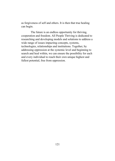as forgiveness of self and others. It is then that true healing can begin.

The future is an endless opportunity for thriving, cooperation and freedom. All People Thriving is dedicated to researching and developing models and solutions to address a wide range of issues impacting concepts, systems, technologies, relationships and institutions. Together, by addressing oppression at the systemic level and beginning to search and heal within, we can ensure the possibility for each and every individual to reach their own unique highest and fullest potential, free from oppression.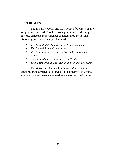## **REFERENCES**

The Integrity Model and the Theory of Oppression are original works of All People Thriving built on a wide range of historic concepts and references as noted throughout. The following were specifically referenced:

- The United State Declaration of Independence
- The United States Constitution
- The National Association of Social Workers Code of Ethics
- Abraham Maslow's Hierarchy of Needs
- **Social Stratification & Inequality by Harold R. Kerbo**

The statistics referenced in Intervention U.S.A. were gathered from a variety of searches on the internet. In general, conservative estimates were used in place of reported figures.